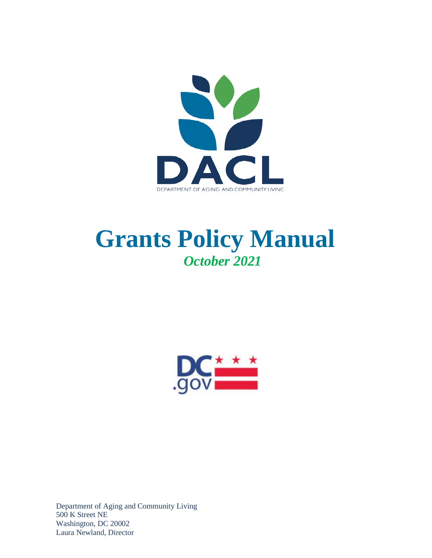

# **Grants Policy Manual**  *October 2021*



Department of Aging and Community Living 500 K Street NE Washington, DC 20002 Laura Newland, Director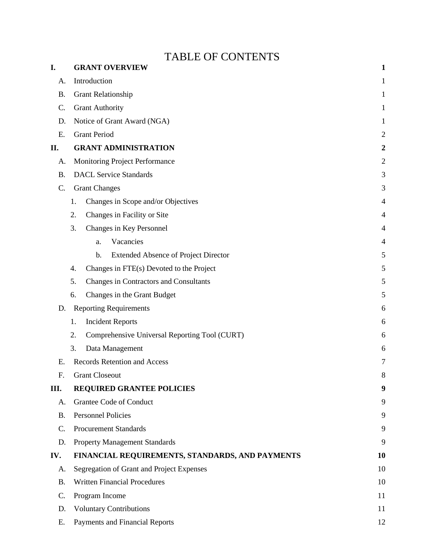## TABLE OF CONTENTS

| I.        | <b>GRANT OVERVIEW</b>                                        | 1                |
|-----------|--------------------------------------------------------------|------------------|
| A.        | Introduction                                                 | 1                |
| <b>B.</b> | <b>Grant Relationship</b>                                    | 1                |
| C.        | <b>Grant Authority</b>                                       | 1                |
| D.        | Notice of Grant Award (NGA)                                  | 1                |
| E.        | <b>Grant Period</b>                                          | $\overline{c}$   |
| П.        | <b>GRANT ADMINISTRATION</b>                                  | $\boldsymbol{2}$ |
| A.        | Monitoring Project Performance                               | $\sqrt{2}$       |
| <b>B.</b> | <b>DACL Service Standards</b>                                | 3                |
| C.        | <b>Grant Changes</b>                                         |                  |
|           | Changes in Scope and/or Objectives<br>1.                     | 4                |
|           | Changes in Facility or Site<br>2.                            | 4                |
|           | Changes in Key Personnel<br>3.                               | 4                |
|           | Vacancies<br>a.                                              | 4                |
|           | <b>Extended Absence of Project Director</b><br>$\mathbf b$ . | 5                |
|           | Changes in FTE(s) Devoted to the Project<br>4.               | 5                |
|           | Changes in Contractors and Consultants<br>5.                 | 5                |
|           | Changes in the Grant Budget<br>6.                            | 5                |
| D.        | <b>Reporting Requirements</b>                                | 6                |
|           | <b>Incident Reports</b><br>1.                                | 6                |
|           | 2.<br>Comprehensive Universal Reporting Tool (CURT)          | 6                |
|           | Data Management<br>3.                                        | 6                |
| Ε.        | <b>Records Retention and Access</b>                          | 7                |
| F.        | <b>Grant Closeout</b>                                        | 8                |
| III.      | <b>REQUIRED GRANTEE POLICIES</b>                             | 9                |
| A.        | Grantee Code of Conduct                                      | 9                |
| <b>B.</b> | <b>Personnel Policies</b>                                    | 9                |
| C.        | <b>Procurement Standards</b>                                 | 9                |
| D.        | <b>Property Management Standards</b>                         | 9                |
| IV.       | FINANCIAL REQUIREMENTS, STANDARDS, AND PAYMENTS              | 10               |
| A.        | Segregation of Grant and Project Expenses                    | 10               |
| <b>B.</b> | <b>Written Financial Procedures</b>                          | 10               |
| C.        | Program Income                                               | 11               |
| D.        | <b>Voluntary Contributions</b>                               | 11               |
| Ε.        | Payments and Financial Reports                               | 12               |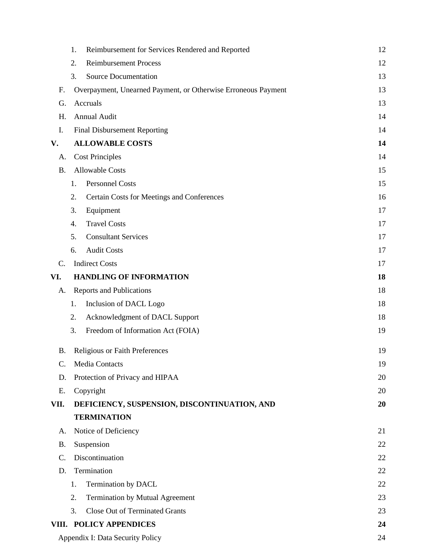|           | Reimbursement for Services Rendered and Reported<br>1.        | 12 |  |
|-----------|---------------------------------------------------------------|----|--|
|           | <b>Reimbursement Process</b><br>2.                            | 12 |  |
|           | <b>Source Documentation</b><br>3.                             | 13 |  |
| F.        | Overpayment, Unearned Payment, or Otherwise Erroneous Payment | 13 |  |
| G.        | Accruals                                                      | 13 |  |
| Η.        | Annual Audit                                                  | 14 |  |
| I.        | <b>Final Disbursement Reporting</b>                           | 14 |  |
| V.        | <b>ALLOWABLE COSTS</b><br>14                                  |    |  |
| А.        | <b>Cost Principles</b>                                        | 14 |  |
| <b>B.</b> | <b>Allowable Costs</b>                                        | 15 |  |
|           | <b>Personnel Costs</b><br>1.                                  | 15 |  |
|           | Certain Costs for Meetings and Conferences<br>2.              | 16 |  |
|           | Equipment<br>3.                                               | 17 |  |
|           | <b>Travel Costs</b><br>4.                                     | 17 |  |
|           | <b>Consultant Services</b><br>5.                              | 17 |  |
|           | <b>Audit Costs</b><br>6.                                      | 17 |  |
| C.        | <b>Indirect Costs</b>                                         | 17 |  |
| VI.       | <b>HANDLING OF INFORMATION</b>                                | 18 |  |
| A.        | <b>Reports and Publications</b>                               | 18 |  |
|           | Inclusion of DACL Logo<br>1.                                  | 18 |  |
|           | Acknowledgment of DACL Support<br>2.                          | 18 |  |
|           | Freedom of Information Act (FOIA)<br>3.                       | 19 |  |
| <b>B.</b> | Religious or Faith Preferences                                | 19 |  |
| C.        | <b>Media Contacts</b>                                         | 19 |  |
| D.        | Protection of Privacy and HIPAA                               | 20 |  |
| Ε.        | Copyright                                                     | 20 |  |
| VII.      | DEFICIENCY, SUSPENSION, DISCONTINUATION, AND                  | 20 |  |
|           | <b>TERMINATION</b>                                            |    |  |
| A.        | Notice of Deficiency                                          | 21 |  |
| <b>B.</b> | Suspension                                                    | 22 |  |
| C.        | Discontinuation                                               | 22 |  |
| D.        | Termination                                                   | 22 |  |
|           | Termination by DACL<br>1.                                     | 22 |  |
|           | Termination by Mutual Agreement<br>2.                         | 23 |  |
|           | 3.<br><b>Close Out of Terminated Grants</b>                   | 23 |  |
|           | VIII. POLICY APPENDICES                                       | 24 |  |
|           | Appendix I: Data Security Policy                              | 24 |  |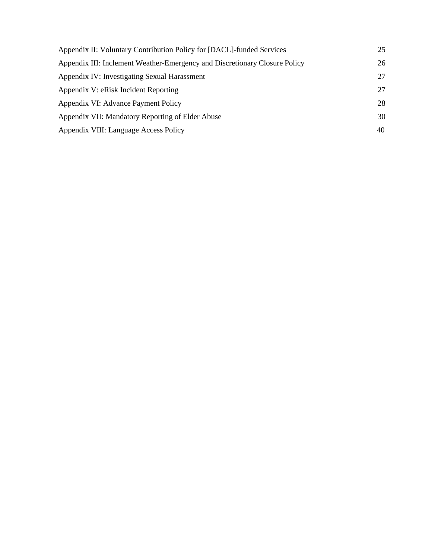| Appendix II: Voluntary Contribution Policy for [DACL]-funded Services      | 25 |
|----------------------------------------------------------------------------|----|
| Appendix III: Inclement Weather-Emergency and Discretionary Closure Policy | 26 |
| Appendix IV: Investigating Sexual Harassment                               | 27 |
| Appendix V: eRisk Incident Reporting                                       | 27 |
| Appendix VI: Advance Payment Policy                                        | 28 |
| Appendix VII: Mandatory Reporting of Elder Abuse                           | 30 |
| Appendix VIII: Language Access Policy                                      | 40 |
|                                                                            |    |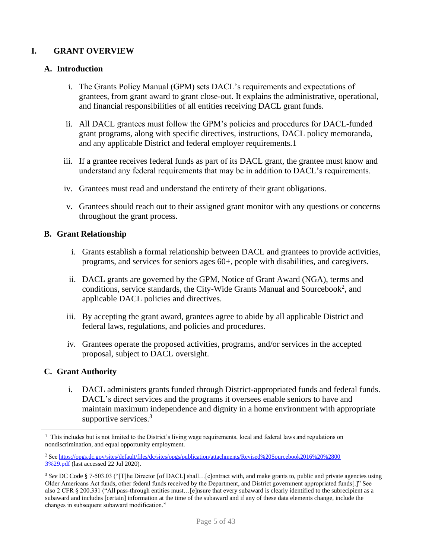## <span id="page-4-0"></span>**I. GRANT OVERVIEW**

## <span id="page-4-1"></span>**A. Introduction**

- i. The Grants Policy Manual (GPM) sets DACL's requirements and expectations of grantees, from grant award to grant close-out. It explains the administrative, operational, and financial responsibilities of all entities receiving DACL grant funds.
- ii. All DACL grantees must follow the GPM's policies and procedures for DACL-funded grant programs, along with specific directives, instructions, DACL policy memoranda, and any applicable District and federal employer requirements.1
- iii. If a grantee receives federal funds as part of its DACL grant, the grantee must know and understand any federal requirements that may be in addition to DACL's requirements.
- iv. Grantees must read and understand the entirety of their grant obligations.
- v. Grantees should reach out to their assigned grant monitor with any questions or concerns throughout the grant process.

#### <span id="page-4-2"></span>**B. Grant Relationship**

- i. Grants establish a formal relationship between DACL and grantees to provide activities, programs, and services for seniors ages 60+, people with disabilities, and caregivers.
- ii. DACL grants are governed by the GPM, Notice of Grant Award (NGA), terms and conditions, service standards, the City-Wide Grants Manual and Sourcebook<sup>2</sup>, and applicable DACL policies and directives.
- iii. By accepting the grant award, grantees agree to abide by all applicable District and federal laws, regulations, and policies and procedures.
- iv. Grantees operate the proposed activities, programs, and/or services in the accepted proposal, subject to DACL oversight.

## <span id="page-4-3"></span>**C. Grant Authority**

i. DACL administers grants funded through District-appropriated funds and federal funds. DACL's direct services and the programs it oversees enable seniors to have and maintain maximum independence and dignity in a home environment with appropriate supportive services.<sup>3</sup>

 $1$  This includes but is not limited to the District's living wage requirements, local and federal laws and regulations on nondiscrimination, and equal opportunity employment.

<sup>2</sup> Se[e https://opgs.dc.gov/sites/default/files/dc/sites/opgs/publication/attachments/Revised%20Sourcebook2016%20%2800](https://opgs.dc.gov/sites/default/files/dc/sites/opgs/publication/attachments/Revised%20Sourcebook2016%20%28003%29.pdf) [3%29.pdf](https://opgs.dc.gov/sites/default/files/dc/sites/opgs/publication/attachments/Revised%20Sourcebook2016%20%28003%29.pdf) (last accessed 22 Jul 2020).

<sup>3</sup> *See* DC Code § 7-503.03 ("[T]he Director [of DACL] shall…[c]ontract with, and make grants to, public and private agencies using Older Americans Act funds, other federal funds received by the Department, and District government appropriated funds[.]" See also 2 CFR § 200.331 ("All pass-through entities must…[e]nsure that every subaward is clearly identified to the subrecipient as a subaward and includes [certain] information at the time of the subaward and if any of these data elements change, include the changes in subsequent subaward modification."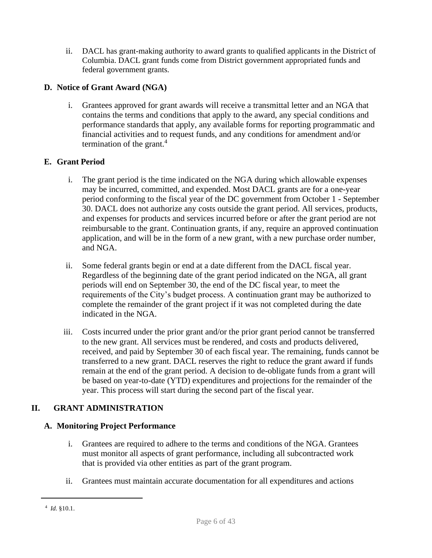ii. DACL has grant-making authority to award grants to qualified applicants in the District of Columbia. DACL grant funds come from District government appropriated funds and federal government grants.

## <span id="page-5-0"></span>**D. Notice of Grant Award (NGA)**

i. Grantees approved for grant awards will receive a transmittal letter and an NGA that contains the terms and conditions that apply to the award, any special conditions and performance standards that apply, any available forms for reporting programmatic and financial activities and to request funds, and any conditions for amendment and/or termination of the grant. $4$ 

## <span id="page-5-1"></span>**E. Grant Period**

- i. The grant period is the time indicated on the NGA during which allowable expenses may be incurred, committed, and expended. Most DACL grants are for a one-year period conforming to the fiscal year of the DC government from October 1 - September 30. DACL does not authorize any costs outside the grant period. All services, products, and expenses for products and services incurred before or after the grant period are not reimbursable to the grant. Continuation grants, if any, require an approved continuation application, and will be in the form of a new grant, with a new purchase order number, and NGA.
- ii. Some federal grants begin or end at a date different from the DACL fiscal year. Regardless of the beginning date of the grant period indicated on the NGA, all grant periods will end on September 30, the end of the DC fiscal year, to meet the requirements of the City's budget process. A continuation grant may be authorized to complete the remainder of the grant project if it was not completed during the date indicated in the NGA.
- iii. Costs incurred under the prior grant and/or the prior grant period cannot be transferred to the new grant. All services must be rendered, and costs and products delivered, received, and paid by September 30 of each fiscal year. The remaining, funds cannot be transferred to a new grant. DACL reserves the right to reduce the grant award if funds remain at the end of the grant period. A decision to de-obligate funds from a grant will be based on year-to-date (YTD) expenditures and projections for the remainder of the year. This process will start during the second part of the fiscal year.

## <span id="page-5-2"></span>**II. GRANT ADMINISTRATION**

## <span id="page-5-3"></span>**A. Monitoring Project Performance**

- i. Grantees are required to adhere to the terms and conditions of the NGA. Grantees must monitor all aspects of grant performance, including all subcontracted work that is provided via other entities as part of the grant program.
- ii. Grantees must maintain accurate documentation for all expenditures and actions

<sup>4</sup> *Id.* §10.1.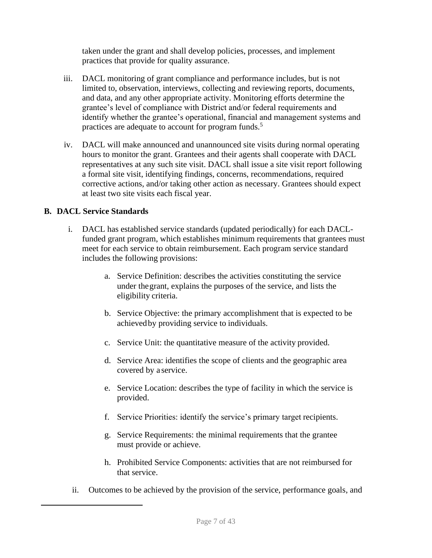taken under the grant and shall develop policies, processes, and implement practices that provide for quality assurance.

- iii. DACL monitoring of grant compliance and performance includes, but is not limited to, observation, interviews, collecting and reviewing reports, documents, and data, and any other appropriate activity. Monitoring efforts determine the grantee's level of compliance with District and/or federal requirements and identify whether the grantee's operational, financial and management systems and practices are adequate to account for program funds.<sup>5</sup>
- iv. DACL will make announced and unannounced site visits during normal operating hours to monitor the grant. Grantees and their agents shall cooperate with DACL representatives at any such site visit. DACL shall issue a site visit report following a formal site visit, identifying findings, concerns, recommendations, required corrective actions, and/or taking other action as necessary. Grantees should expect at least two site visits each fiscal year.

## <span id="page-6-0"></span>**B. DACL Service Standards**

- i. DACL has established service standards (updated periodically) for each DACLfunded grant program, which establishes minimum requirements that grantees must meet for each service to obtain reimbursement. Each program service standard includes the following provisions:
	- a. Service Definition: describes the activities constituting the service under thegrant, explains the purposes of the service, and lists the eligibility criteria.
	- b. Service Objective: the primary accomplishment that is expected to be achievedby providing service to individuals.
	- c. Service Unit: the quantitative measure of the activity provided.
	- d. Service Area: identifies the scope of clients and the geographic area covered by a service.
	- e. Service Location: describes the type of facility in which the service is provided.
	- f. Service Priorities: identify the service's primary target recipients.
	- g. Service Requirements: the minimal requirements that the grantee must provide or achieve.
	- h. Prohibited Service Components: activities that are not reimbursed for that service.
	- ii. Outcomes to be achieved by the provision of the service, performance goals, and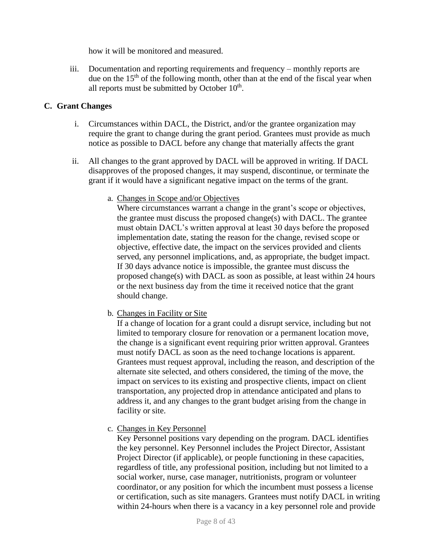how it will be monitored and measured.

iii. Documentation and reporting requirements and frequency – monthly reports are due on the 15<sup>th</sup> of the following month, other than at the end of the fiscal year when all reports must be submitted by October 10<sup>th</sup>.

### <span id="page-7-0"></span>**C. Grant Changes**

- i. Circumstances within DACL, the District, and/or the grantee organization may require the grant to change during the grant period. Grantees must provide as much notice as possible to DACL before any change that materially affects the grant
- <span id="page-7-1"></span>ii. All changes to the grant approved by DACL will be approved in writing. If DACL disapproves of the proposed changes, it may suspend, discontinue, or terminate the grant if it would have a significant negative impact on the terms of the grant.
	- a. Changes in Scope and/or Objectives

Where circumstances warrant a change in the grant's scope or objectives, the grantee must discuss the proposed change(s) with DACL. The grantee must obtain DACL's written approval at least 30 days before the proposed implementation date, stating the reason for the change, revised scope or objective, effective date, the impact on the services provided and clients served, any personnel implications, and, as appropriate, the budget impact. If 30 days advance notice is impossible, the grantee must discuss the proposed change(s) with DACL as soon as possible, at least within 24 hours or the next business day from the time it received notice that the grant should change.

<span id="page-7-2"></span>b. Changes in Facility or Site

If a change of location for a grant could a disrupt service, including but not limited to temporary closure for renovation or a permanent location move, the change is a significant event requiring prior written approval. Grantees must notify DACL as soon as the need tochange locations is apparent. Grantees must request approval, including the reason, and description of the alternate site selected, and others considered, the timing of the move, the impact on services to its existing and prospective clients, impact on client transportation, any projected drop in attendance anticipated and plans to address it, and any changes to the grant budget arising from the change in facility or site.

<span id="page-7-3"></span>c. Changes in Key Personnel

Key Personnel positions vary depending on the program. DACL identifies the key personnel. Key Personnel includes the Project Director, Assistant Project Director (if applicable), or people functioning in these capacities, regardless of title, any professional position, including but not limited to a social worker, nurse, case manager, nutritionists, program or volunteer coordinator, or any position for which the incumbent must possess a license or certification, such as site managers. Grantees must notify DACL in writing within 24-hours when there is a vacancy in a key personnel role and provide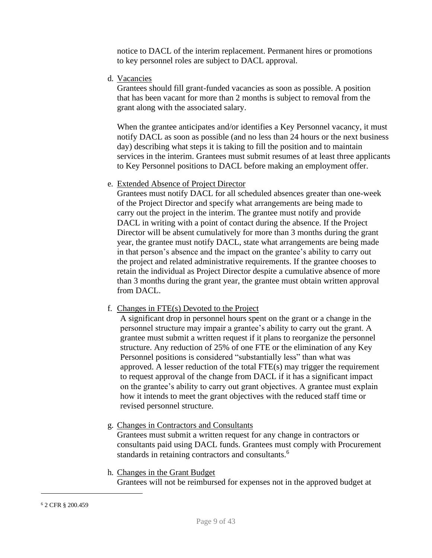notice to DACL of the interim replacement. Permanent hires or promotions to key personnel roles are subject to DACL approval.

<span id="page-8-0"></span>d. Vacancies

Grantees should fill grant-funded vacancies as soon as possible. A position that has been vacant for more than 2 months is subject to removal from the grant along with the associated salary.

When the grantee anticipates and/or identifies a Key Personnel vacancy, it must notify DACL as soon as possible (and no less than 24 hours or the next business day) describing what steps it is taking to fill the position and to maintain services in the interim. Grantees must submit resumes of at least three applicants to Key Personnel positions to DACL before making an employment offer.

e. Extended Absence of Project Director

<span id="page-8-1"></span>Grantees must notify DACL for all scheduled absences greater than one-week of the Project Director and specify what arrangements are being made to carry out the project in the interim. The grantee must notify and provide DACL in writing with a point of contact during the absence. If the Project Director will be absent cumulatively for more than 3 months during the grant year, the grantee must notify DACL, state what arrangements are being made in that person's absence and the impact on the grantee's ability to carry out the project and related administrative requirements. If the grantee chooses to retain the individual as Project Director despite a cumulative absence of more than 3 months during the grant year, the grantee must obtain written approval from DACL.

## <span id="page-8-2"></span>f. Changes in FTE(s) Devoted to the Project

A significant drop in personnel hours spent on the grant or a change in the personnel structure may impair a grantee's ability to carry out the grant. A grantee must submit a written request if it plans to reorganize the personnel structure. Any reduction of 25% of one FTE or the elimination of any Key Personnel positions is considered "substantially less" than what was approved. A lesser reduction of the total FTE(s) may trigger the requirement to request approval of the change from DACL if it has a significant impact on the grantee's ability to carry out grant objectives. A grantee must explain how it intends to meet the grant objectives with the reduced staff time or revised personnel structure.

<span id="page-8-3"></span>g. Changes in Contractors and Consultants

Grantees must submit a written request for any change in contractors or consultants paid using DACL funds. Grantees must comply with Procurement standards in retaining contractors and consultants.<sup>6</sup>

<span id="page-8-4"></span>h. Changes in the Grant Budget

Grantees will not be reimbursed for expenses not in the approved budget at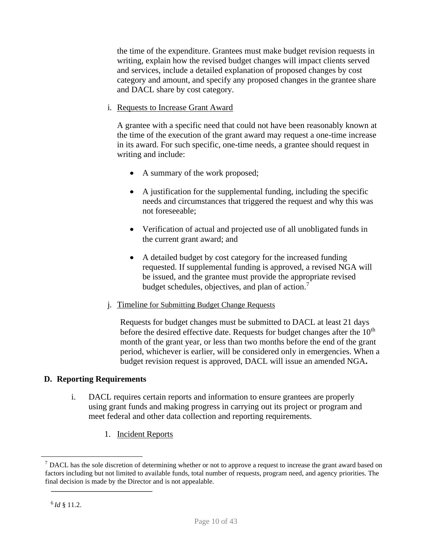the time of the expenditure. Grantees must make budget revision requests in writing, explain how the revised budget changes will impact clients served and services, include a detailed explanation of proposed changes by cost category and amount, and specify any proposed changes in the grantee share and DACL share by cost category.

i. Requests to Increase Grant Award

A grantee with a specific need that could not have been reasonably known at the time of the execution of the grant award may request a one-time increase in its award. For such specific, one-time needs, a grantee should request in writing and include:

- A summary of the work proposed;
- A justification for the supplemental funding, including the specific needs and circumstances that triggered the request and why this was not foreseeable;
- Verification of actual and projected use of all unobligated funds in the current grant award; and
- A detailed budget by cost category for the increased funding requested. If supplemental funding is approved, a revised NGA will be issued, and the grantee must provide the appropriate revised budget schedules, objectives, and plan of action.<sup>7</sup>
- j. Timeline for Submitting Budget Change Requests

Requests for budget changes must be submitted to DACL at least 21 days before the desired effective date. Requests for budget changes after the  $10<sup>th</sup>$ month of the grant year, or less than two months before the end of the grant period, whichever is earlier, will be considered only in emergencies. When a budget revision request is approved, DACL will issue an amended NGA**.**

## <span id="page-9-0"></span>**D. Reporting Requirements**

- i. DACL requires certain reports and information to ensure grantees are properly using grant funds and making progress in carrying out its project or program and meet federal and other data collection and reporting requirements.
	- 1. Incident Reports

<span id="page-9-1"></span> $<sup>7</sup>$  DACL has the sole discretion of determining whether or not to approve a request to increase the grant award based on</sup> factors including but not limited to available funds, total number of requests, program need, and agency priorities. The final decision is made by the Director and is not appealable.

<sup>6</sup>*Id* § 11.2.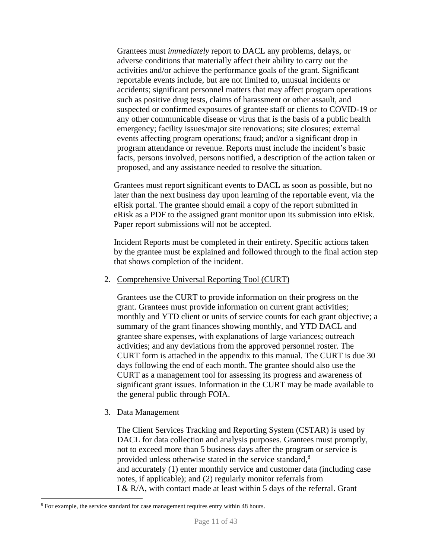Grantees must *immediately* report to DACL any problems, delays, or adverse conditions that materially affect their ability to carry out the activities and/or achieve the performance goals of the grant. Significant reportable events include, but are not limited to, unusual incidents or accidents; significant personnel matters that may affect program operations such as positive drug tests, claims of harassment or other assault, and suspected or confirmed exposures of grantee staff or clients to COVID-19 or any other communicable disease or virus that is the basis of a public health emergency; facility issues/major site renovations; site closures; external events affecting program operations; fraud; and/or a significant drop in program attendance or revenue. Reports must include the incident's basic facts, persons involved, persons notified, a description of the action taken or proposed, and any assistance needed to resolve the situation.

Grantees must report significant events to DACL as soon as possible, but no later than the next business day upon learning of the reportable event, via the eRisk portal. The grantee should email a copy of the report submitted in eRisk as a PDF to the assigned grant monitor upon its submission into eRisk. Paper report submissions will not be accepted.

Incident Reports must be completed in their entirety. Specific actions taken by the grantee must be explained and followed through to the final action step that shows completion of the incident.

#### <span id="page-10-0"></span>2. Comprehensive Universal Reporting Tool (CURT)

Grantees use the CURT to provide information on their progress on the grant. Grantees must provide information on current grant activities; monthly and YTD client or units of service counts for each grant objective; a summary of the grant finances showing monthly, and YTD DACL and grantee share expenses, with explanations of large variances; outreach activities; and any deviations from the approved personnel roster. The CURT form is attached in the appendix to this manual. The CURT is due 30 days following the end of each month. The grantee should also use the CURT as a management tool for assessing its progress and awareness of significant grant issues. Information in the CURT may be made available to the general public through FOIA.

#### <span id="page-10-1"></span>3. Data Management

The Client Services Tracking and Reporting System (CSTAR) is used by DACL for data collection and analysis purposes. Grantees must promptly, not to exceed more than 5 business days after the program or service is provided unless otherwise stated in the service standard,<sup>8</sup> and accurately (1) enter monthly service and customer data (including case notes, if applicable); and (2) regularly monitor referrals from I & R/A, with contact made at least within 5 days of the referral. Grant

<sup>&</sup>lt;sup>8</sup> For example, the service standard for case management requires entry within 48 hours.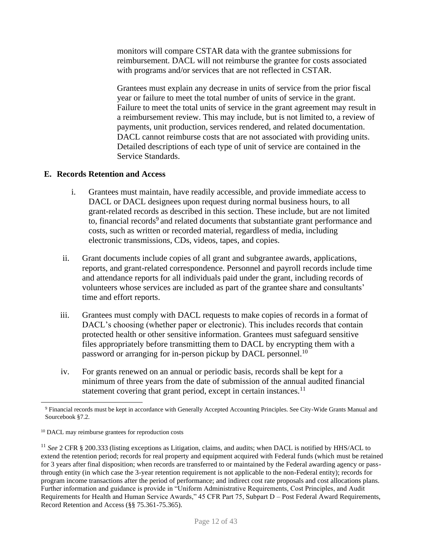monitors will compare CSTAR data with the grantee submissions for reimbursement. DACL will not reimburse the grantee for costs associated with programs and/or services that are not reflected in CSTAR.

Grantees must explain any decrease in units of service from the prior fiscal year or failure to meet the total number of units of service in the grant. Failure to meet the total units of service in the grant agreement may result in a reimbursement review. This may include, but is not limited to, a review of payments, unit production, services rendered, and related documentation. DACL cannot reimburse costs that are not associated with providing units. Detailed descriptions of each type of unit of service are contained in the Service Standards.

## <span id="page-11-0"></span>**E. Records Retention and Access**

- i. Grantees must maintain, have readily accessible, and provide immediate access to DACL or DACL designees upon request during normal business hours, to all grant-related records as described in this section. These include, but are not limited to, financial records<sup>9</sup> and related documents that substantiate grant performance and costs, such as written or recorded material, regardless of media, including electronic transmissions, CDs, videos, tapes, and copies.
- ii. Grant documents include copies of all grant and subgrantee awards, applications, reports, and grant-related correspondence. Personnel and payroll records include time and attendance reports for all individuals paid under the grant, including records of volunteers whose services are included as part of the grantee share and consultants' time and effort reports.
- iii. Grantees must comply with DACL requests to make copies of records in a format of DACL's choosing (whether paper or electronic). This includes records that contain protected health or other sensitive information. Grantees must safeguard sensitive files appropriately before transmitting them to DACL by encrypting them with a password or arranging for in-person pickup by DACL personnel.<sup>10</sup>
- iv. For grants renewed on an annual or periodic basis, records shall be kept for a minimum of three years from the date of submission of the annual audited financial statement covering that grant period, except in certain instances.<sup>11</sup>

<sup>9</sup> Financial records must be kept in accordance with Generally Accepted Accounting Principles. See City-Wide Grants Manual and Sourcebook §7.2.

<sup>10</sup> DACL may reimburse grantees for reproduction costs

<sup>11</sup> *See* 2 CFR § 200.333 (listing exceptions as Litigation, claims, and audits; when DACL is notified by HHS/ACL to extend the retention period; records for real property and equipment acquired with Federal funds (which must be retained for 3 years after final disposition; when records are transferred to or maintained by the Federal awarding agency or passthrough entity (in which case the 3-year retention requirement is not applicable to the non-Federal entity); records for program income transactions after the period of performance; and indirect cost rate proposals and cost allocations plans. Further information and guidance is provide in "Uniform Administrative Requirements, Cost Principles, and Audit Requirements for Health and Human Service Awards," 45 CFR Part 75, Subpart D – Post Federal Award Requirements, Record Retention and Access (§§ 75.361-75.365).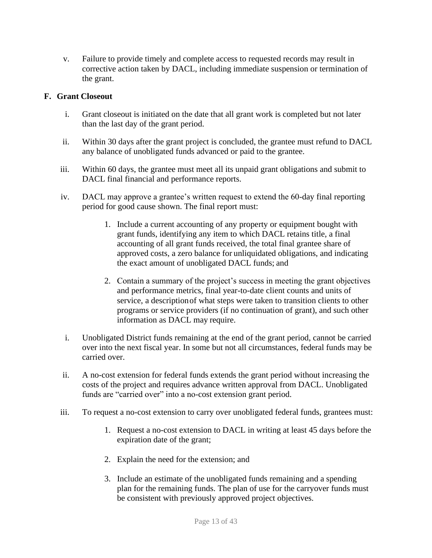v. Failure to provide timely and complete access to requested records may result in corrective action taken by DACL, including immediate suspension or termination of the grant.

## <span id="page-12-0"></span>**F. Grant Closeout**

- i. Grant closeout is initiated on the date that all grant work is completed but not later than the last day of the grant period.
- ii. Within 30 days after the grant project is concluded, the grantee must refund to DACL any balance of unobligated funds advanced or paid to the grantee.
- iii. Within 60 days, the grantee must meet all its unpaid grant obligations and submit to DACL final financial and performance reports.
- iv. DACL may approve a grantee's written request to extend the 60-day final reporting period for good cause shown. The final report must:
	- 1. Include a current accounting of any property or equipment bought with grant funds, identifying any item to which DACL retains title, a final accounting of all grant funds received, the total final grantee share of approved costs, a zero balance for unliquidated obligations, and indicating the exact amount of unobligated DACL funds; and
	- 2. Contain a summary of the project's success in meeting the grant objectives and performance metrics, final year-to-date client counts and units of service, a descriptionof what steps were taken to transition clients to other programs or service providers (if no continuation of grant), and such other information as DACL may require.
- i. Unobligated District funds remaining at the end of the grant period, cannot be carried over into the next fiscal year. In some but not all circumstances, federal funds may be carried over.
- ii. A no-cost extension for federal funds extends the grant period without increasing the costs of the project and requires advance written approval from DACL. Unobligated funds are "carried over" into a no-cost extension grant period.
- iii. To request a no-cost extension to carry over unobligated federal funds, grantees must:
	- 1. Request a no-cost extension to DACL in writing at least 45 days before the expiration date of the grant;
	- 2. Explain the need for the extension; and
	- 3. Include an estimate of the unobligated funds remaining and a spending plan for the remaining funds. The plan of use for the carryover funds must be consistent with previously approved project objectives.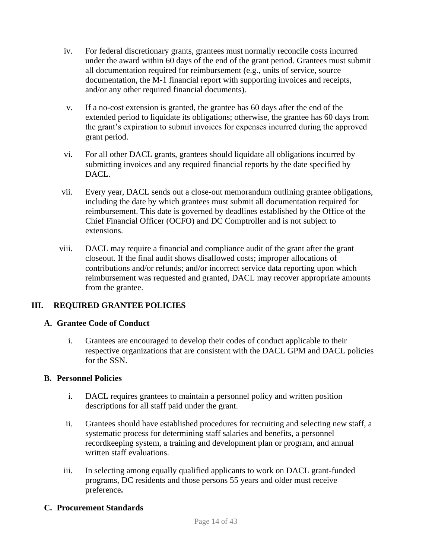- iv. For federal discretionary grants, grantees must normally reconcile costs incurred under the award within 60 days of the end of the grant period. Grantees must submit all documentation required for reimbursement (e.g., units of service, source documentation, the M-1 financial report with supporting invoices and receipts, and/or any other required financial documents).
- v. If a no-cost extension is granted, the grantee has 60 days after the end of the extended period to liquidate its obligations; otherwise, the grantee has 60 days from the grant's expiration to submit invoices for expenses incurred during the approved grant period.
- vi. For all other DACL grants, grantees should liquidate all obligations incurred by submitting invoices and any required financial reports by the date specified by DACL.
- vii. Every year, DACL sends out a close-out memorandum outlining grantee obligations, including the date by which grantees must submit all documentation required for reimbursement. This date is governed by deadlines established by the Office of the Chief Financial Officer (OCFO) and DC Comptroller and is not subject to extensions.
- viii. DACL may require a financial and compliance audit of the grant after the grant closeout. If the final audit shows disallowed costs; improper allocations of contributions and/or refunds; and/or incorrect service data reporting upon which reimbursement was requested and granted, DACL may recover appropriate amounts from the grantee.

## <span id="page-13-0"></span>**III. REQUIRED GRANTEE POLICIES**

## <span id="page-13-1"></span>**A. Grantee Code of Conduct**

i. Grantees are encouraged to develop their codes of conduct applicable to their respective organizations that are consistent with the DACL GPM and DACL policies for the SSN.

## <span id="page-13-2"></span>**B. Personnel Policies**

- i. DACL requires grantees to maintain a personnel policy and written position descriptions for all staff paid under the grant.
- ii. Grantees should have established procedures for recruiting and selecting new staff, a systematic process for determining staff salaries and benefits, a personnel recordkeeping system, a training and development plan or program, and annual written staff evaluations.
- iii. In selecting among equally qualified applicants to work on DACL grant-funded programs, DC residents and those persons 55 years and older must receive preference**.**

## <span id="page-13-3"></span>**C. Procurement Standards**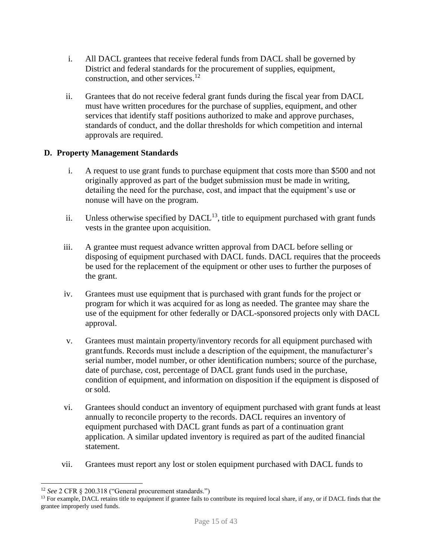- i. All DACL grantees that receive federal funds from DACL shall be governed by District and federal standards for the procurement of supplies, equipment, construction, and other services.<sup>12</sup>
- ii. Grantees that do not receive federal grant funds during the fiscal year from DACL must have written procedures for the purchase of supplies, equipment, and other services that identify staff positions authorized to make and approve purchases, standards of conduct, and the dollar thresholds for which competition and internal approvals are required.

## <span id="page-14-0"></span>**D. Property Management Standards**

- i. A request to use grant funds to purchase equipment that costs more than \$500 and not originally approved as part of the budget submission must be made in writing, detailing the need for the purchase, cost, and impact that the equipment's use or nonuse will have on the program.
- ii. Unless otherwise specified by  $DACL<sup>13</sup>$ , title to equipment purchased with grant funds vests in the grantee upon acquisition.
- iii. A grantee must request advance written approval from DACL before selling or disposing of equipment purchased with DACL funds. DACL requires that the proceeds be used for the replacement of the equipment or other uses to further the purposes of the grant.
- iv. Grantees must use equipment that is purchased with grant funds for the project or program for which it was acquired for as long as needed. The grantee may share the use of the equipment for other federally or DACL-sponsored projects only with DACL approval.
- v. Grantees must maintain property/inventory records for all equipment purchased with grantfunds. Records must include a description of the equipment, the manufacturer's serial number, model number, or other identification numbers; source of the purchase, date of purchase, cost, percentage of DACL grant funds used in the purchase, condition of equipment, and information on disposition if the equipment is disposed of or sold.
- vi. Grantees should conduct an inventory of equipment purchased with grant funds at least annually to reconcile property to the records. DACL requires an inventory of equipment purchased with DACL grant funds as part of a continuation grant application. A similar updated inventory is required as part of the audited financial statement.
- vii. Grantees must report any lost or stolen equipment purchased with DACL funds to

<sup>12</sup> *See* 2 CFR § 200.318 ("General procurement standards.")

<sup>&</sup>lt;sup>13</sup> For example, DACL retains title to equipment if grantee fails to contribute its required local share, if any, or if DACL finds that the grantee improperly used funds.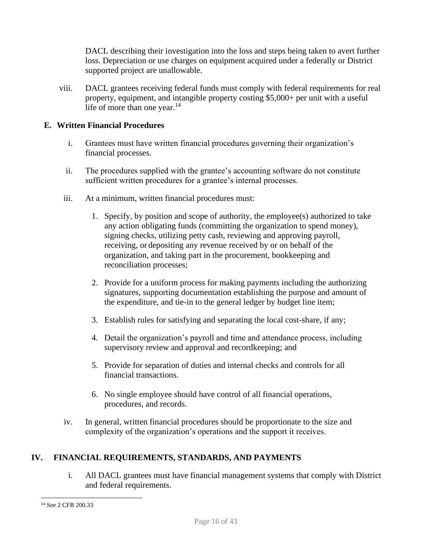DACL describing their investigation into the loss and steps being taken to avert further loss. Depreciation or use charges on equipment acquired under a federally or District supported project are unallowable.

viii. DACL grantees receiving federal funds must comply with federal requirements for real property, equipment, and intangible property costing \$5,000+ per unit with a useful life of more than one year. $14$ 

## <span id="page-15-1"></span>**E. Written Financial Procedures**

- i. Grantees must have written financial procedures governing their organization's financial processes.
- ii. The procedures supplied with the grantee's accounting software do not constitute sufficient written procedures for a grantee's internal processes.
- iii. At a minimum, written financial procedures must:
	- 1. Specify, by position and scope of authority, the employee(s) authorized to take any action obligating funds (committing the organization to spend money), signing checks, utilizing petty cash, reviewing and approving payroll, receiving, or depositing any revenue received by or on behalf of the organization, and taking part in the procurement, bookkeeping and reconciliation processes;
	- 2. Provide for a uniform process for making payments including the authorizing signatures, supporting documentation establishing the purpose and amount of the expenditure, and tie-in to the general ledger by budget line item;
	- 3. Establish rules for satisfying and separating the local cost-share, if any;
	- 4. Detail the organization's payroll and time and attendance process, including supervisory review and approval and recordkeeping; and
	- 5. Provide for separation of duties and internal checks and controls for all financial transactions.
	- 6. No single employee should have control of all financial operations, procedures, and records.
- iv. In general, written financial procedures should be proportionate to the size and complexity of the organization's operations and the support it receives.

## <span id="page-15-0"></span>**IV. FINANCIAL REQUIREMENTS, STANDARDS, AND PAYMENTS**

i. All DACL grantees must have financial management systems that comply with District and federal requirements.

<sup>14</sup> See 2 CFR 200.33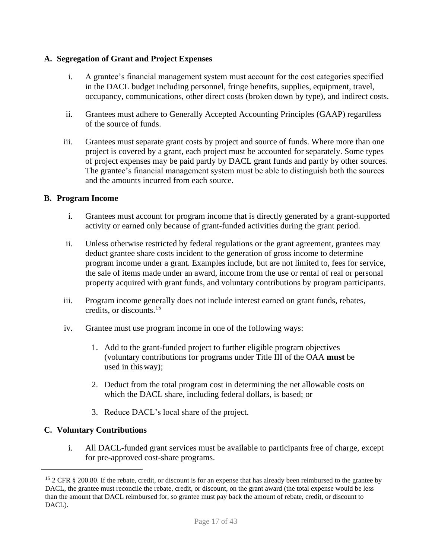## <span id="page-16-0"></span>**A. Segregation of Grant and Project Expenses**

- i. A grantee's financial management system must account for the cost categories specified in the DACL budget including personnel, fringe benefits, supplies, equipment, travel, occupancy, communications, other direct costs (broken down by type), and indirect costs.
- ii. Grantees must adhere to Generally Accepted Accounting Principles (GAAP) regardless of the source of funds.
- iii. Grantees must separate grant costs by project and source of funds. Where more than one project is covered by a grant, each project must be accounted for separately. Some types of project expenses may be paid partly by DACL grant funds and partly by other sources. The grantee's financial management system must be able to distinguish both the sources and the amounts incurred from each source.

#### <span id="page-16-1"></span>**B. Program Income**

- i. Grantees must account for program income that is directly generated by a grant-supported activity or earned only because of grant-funded activities during the grant period.
- ii. Unless otherwise restricted by federal regulations or the grant agreement, grantees may deduct grantee share costs incident to the generation of gross income to determine program income under a grant. Examples include, but are not limited to, fees for service, the sale of items made under an award, income from the use or rental of real or personal property acquired with grant funds, and voluntary contributions by program participants.
- iii. Program income generally does not include interest earned on grant funds, rebates, credits, or discounts.<sup>15</sup>
- iv. Grantee must use program income in one of the following ways:
	- 1. Add to the grant-funded project to further eligible program objectives (voluntary contributions for programs under Title III of the OAA **must** be used in thisway);
	- 2. Deduct from the total program cost in determining the net allowable costs on which the DACL share, including federal dollars, is based; or
	- 3. Reduce DACL's local share of the project.

#### <span id="page-16-2"></span>**C. Voluntary Contributions**

i. All DACL-funded grant services must be available to participants free of charge, except for pre-approved cost-share programs.

<sup>&</sup>lt;sup>15</sup> 2 CFR § 200.80. If the rebate, credit, or discount is for an expense that has already been reimbursed to the grantee by DACL, the grantee must reconcile the rebate, credit, or discount, on the grant award (the total expense would be less than the amount that DACL reimbursed for, so grantee must pay back the amount of rebate, credit, or discount to DACL).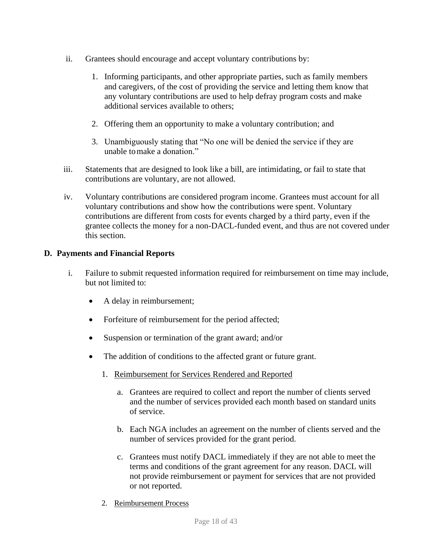- ii. Grantees should encourage and accept voluntary contributions by:
	- 1. Informing participants, and other appropriate parties, such as family members and caregivers, of the cost of providing the service and letting them know that any voluntary contributions are used to help defray program costs and make additional services available to others;
	- 2. Offering them an opportunity to make a voluntary contribution; and
	- 3. Unambiguously stating that "No one will be denied the service if they are unable tomake a donation."
- iii. Statements that are designed to look like a bill, are intimidating, or fail to state that contributions are voluntary, are not allowed.
- iv. Voluntary contributions are considered program income. Grantees must account for all voluntary contributions and show how the contributions were spent. Voluntary contributions are different from costs for events charged by a third party, even if the grantee collects the money for a non-DACL-funded event, and thus are not covered under this section.

## <span id="page-17-0"></span>**D. Payments and Financial Reports**

- <span id="page-17-2"></span><span id="page-17-1"></span>i. Failure to submit requested information required for reimbursement on time may include, but not limited to:
	- A delay in reimbursement;
	- Forfeiture of reimbursement for the period affected;
	- Suspension or termination of the grant award; and/or
	- The addition of conditions to the affected grant or future grant.
		- 1. Reimbursement for Services Rendered and Reported
			- a. Grantees are required to collect and report the number of clients served and the number of services provided each month based on standard units of service.
			- b. Each NGA includes an agreement on the number of clients served and the number of services provided for the grant period.
			- c. Grantees must notify DACL immediately if they are not able to meet the terms and conditions of the grant agreement for any reason. DACL will not provide reimbursement or payment for services that are not provided or not reported.
		- 2. Reimbursement Process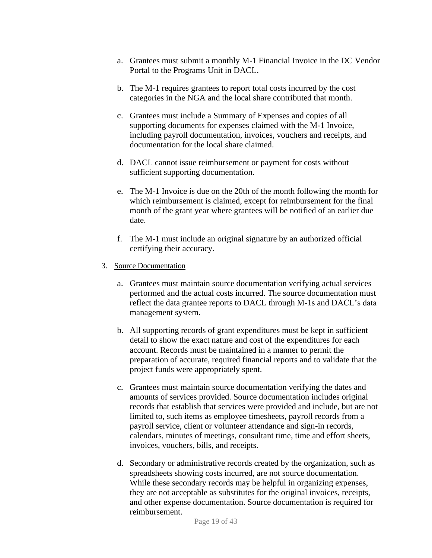- a. Grantees must submit a monthly M-1 Financial Invoice in the DC Vendor Portal to the Programs Unit in DACL.
- b. The M-1 requires grantees to report total costs incurred by the cost categories in the NGA and the local share contributed that month.
- c. Grantees must include a Summary of Expenses and copies of all supporting documents for expenses claimed with the M-1 Invoice, including payroll documentation, invoices, vouchers and receipts, and documentation for the local share claimed.
- d. DACL cannot issue reimbursement or payment for costs without sufficient supporting documentation.
- e. The M-1 Invoice is due on the 20th of the month following the month for which reimbursement is claimed, except for reimbursement for the final month of the grant year where grantees will be notified of an earlier due date.
- f. The M-1 must include an original signature by an authorized official certifying their accuracy.
- <span id="page-18-0"></span>3. Source Documentation
	- a. Grantees must maintain source documentation verifying actual services performed and the actual costs incurred. The source documentation must reflect the data grantee reports to DACL through M-1s and DACL's data management system.
	- b. All supporting records of grant expenditures must be kept in sufficient detail to show the exact nature and cost of the expenditures for each account. Records must be maintained in a manner to permit the preparation of accurate, required financial reports and to validate that the project funds were appropriately spent.
	- c. Grantees must maintain source documentation verifying the dates and amounts of services provided. Source documentation includes original records that establish that services were provided and include, but are not limited to, such items as employee timesheets, payroll records from a payroll service, client or volunteer attendance and sign-in records, calendars, minutes of meetings, consultant time, time and effort sheets, invoices, vouchers, bills, and receipts.
	- d. Secondary or administrative records created by the organization, such as spreadsheets showing costs incurred, are not source documentation. While these secondary records may be helpful in organizing expenses, they are not acceptable as substitutes for the original invoices, receipts, and other expense documentation. Source documentation is required for reimbursement.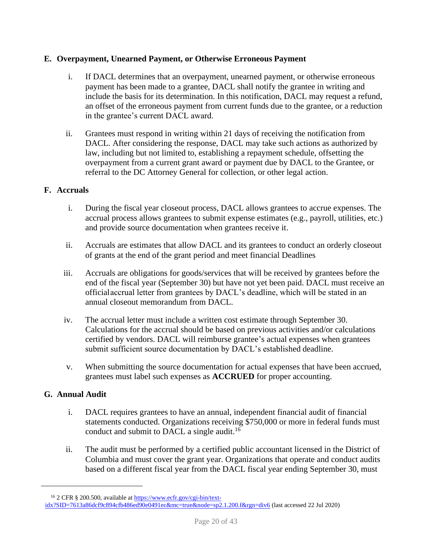## <span id="page-19-0"></span>**E. Overpayment, Unearned Payment, or Otherwise Erroneous Payment**

- i. If DACL determines that an overpayment, unearned payment, or otherwise erroneous payment has been made to a grantee, DACL shall notify the grantee in writing and include the basis for its determination. In this notification, DACL may request a refund, an offset of the erroneous payment from current funds due to the grantee, or a reduction in the grantee's current DACL award.
- ii. Grantees must respond in writing within 21 days of receiving the notification from DACL. After considering the response, DACL may take such actions as authorized by law, including but not limited to, establishing a repayment schedule, offsetting the overpayment from a current grant award or payment due by DACL to the Grantee, or referral to the DC Attorney General for collection, or other legal action.

## <span id="page-19-1"></span>**F. Accruals**

- i. During the fiscal year closeout process, DACL allows grantees to accrue expenses. The accrual process allows grantees to submit expense estimates (e.g., payroll, utilities, etc.) and provide source documentation when grantees receive it.
- ii. Accruals are estimates that allow DACL and its grantees to conduct an orderly closeout of grants at the end of the grant period and meet financial Deadlines
- iii. Accruals are obligations for goods/services that will be received by grantees before the end of the fiscal year (September 30) but have not yet been paid. DACL must receive an officialaccrual letter from grantees by DACL's deadline, which will be stated in an annual closeout memorandum from DACL.
- iv. The accrual letter must include a written cost estimate through September 30. Calculations for the accrual should be based on previous activities and/or calculations certified by vendors. DACL will reimburse grantee's actual expenses when grantees submit sufficient source documentation by DACL's established deadline.
- v. When submitting the source documentation for actual expenses that have been accrued, grantees must label such expenses as **ACCRUED** for proper accounting.

## <span id="page-19-2"></span>**G. Annual Audit**

- i. DACL requires grantees to have an annual, independent financial audit of financial statements conducted. Organizations receiving \$750,000 or more in federal funds must conduct and submit to DACL a [single audit.](https://www.ecfr.gov/cgi-bin/text-idx?SID=7613a86dcf9c894cfb486ed90e0491ec&amp%3Bmc=true&amp%3Bnode=sp2.1.200.f&amp%3Brgn=div6)<sup>16</sup>
- ii. The audit must be performed by a certified public accountant licensed in the District of Columbia and must cover the grant year. Organizations that operate and conduct audits based on a different fiscal year from the DACL fiscal year ending September 30, must

<sup>&</sup>lt;sup>16</sup> 2 CFR § 200.500, available at [https://www.ecfr.gov/cgi-bin/text](https://www.ecfr.gov/cgi-bin/text-idx?SID=7613a86dcf9c894cfb486ed90e0491ec&amp%3Bmc=true&amp%3Bnode=sp2.1.200.f&amp%3Brgn=div6)[idx?SID=7613a86dcf9c894cfb486ed90e0491ec&mc=true&node=sp2.1.200.f&rgn=div6](https://www.ecfr.gov/cgi-bin/text-idx?SID=7613a86dcf9c894cfb486ed90e0491ec&amp%3Bmc=true&amp%3Bnode=sp2.1.200.f&amp%3Brgn=div6) (last accessed 22 Jul 2020)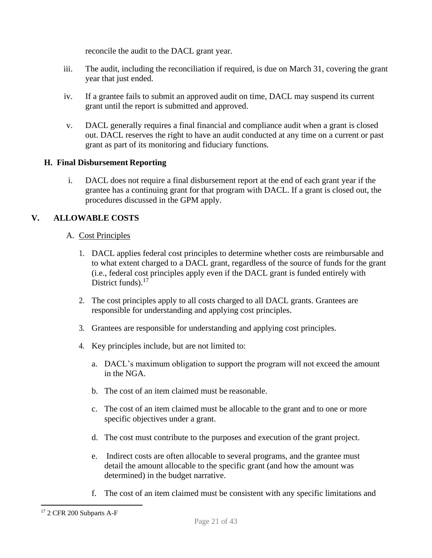reconcile the audit to the DACL grant year.

- iii. The audit, including the reconciliation if required, is due on March 31, covering the grant year that just ended.
- iv. If a grantee fails to submit an approved audit on time, DACL may suspend its current grant until the report is submitted and approved.
- v. DACL generally requires a final financial and compliance audit when a grant is closed out. DACL reserves the right to have an audit conducted at any time on a current or past grant as part of its monitoring and fiduciary functions.

## <span id="page-20-0"></span>**H. Final Disbursement Reporting**

i. DACL does not require a final disbursement report at the end of each grant year if the grantee has a continuing grant for that program with DACL. If a grant is closed out, the procedures discussed in the GPM apply.

## <span id="page-20-2"></span><span id="page-20-1"></span>**V. ALLOWABLE COSTS**

## A. Cost Principles

- 1. DACL applies federal cost principles to determine whether costs are reimbursable and to what extent charged to a DACL grant, regardless of the source of funds for the grant (i.e., federal cost principles apply even if the DACL grant is funded entirely with District funds).<sup>17</sup>
- 2. The cost principles apply to all costs charged to all DACL grants. Grantees are responsible for understanding and applying cost principles.
- 3. Grantees are responsible for understanding and applying cost principles.
- 4. Key principles include, but are not limited to:
	- a. DACL's maximum obligation to support the program will not exceed the amount in the NGA.
	- b. The cost of an item claimed must be reasonable.
	- c. The cost of an item claimed must be allocable to the grant and to one or more specific objectives under a grant.
	- d. The cost must contribute to the purposes and execution of the grant project.
	- e. Indirect costs are often allocable to several programs, and the grantee must detail the amount allocable to the specific grant (and how the amount was determined) in the budget narrative.
	- f. The cost of an item claimed must be consistent with any specific limitations and

<sup>17</sup> 2 CFR 200 Subparts A-F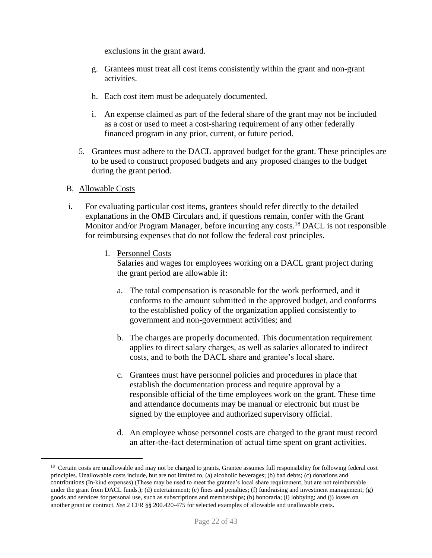exclusions in the grant award.

- g. Grantees must treat all cost items consistently within the grant and non-grant activities.
- h. Each cost item must be adequately documented.
- i. An expense claimed as part of the federal share of the grant may not be included as a cost or used to meet a cost-sharing requirement of any other federally financed program in any prior, current, or future period.
- 5. Grantees must adhere to the DACL approved budget for the grant. These principles are to be used to construct proposed budgets and any proposed changes to the budget during the grant period.

#### <span id="page-21-0"></span>B. Allowable Costs

- <span id="page-21-1"></span>i. For evaluating particular cost items, grantees should refer directly to the detailed explanations in the OMB Circulars and, if questions remain, confer with the Grant Monitor and/or Program Manager, before incurring any costs.<sup>18</sup> DACL is not responsible for reimbursing expenses that do not follow the federal cost principles.
	- 1. Personnel Costs

Salaries and wages for employees working on a DACL grant project during the grant period are allowable if:

- a. The total compensation is reasonable for the work performed, and it conforms to the amount submitted in the approved budget, and conforms to the established policy of the organization applied consistently to government and non-government activities; and
- b. The charges are properly documented. This documentation requirement applies to direct salary charges, as well as salaries allocated to indirect costs, and to both the DACL share and grantee's local share.
- c. Grantees must have personnel policies and procedures in place that establish the documentation process and require approval by a responsible official of the time employees work on the grant. These time and attendance documents may be manual or electronic but must be signed by the employee and authorized supervisory official.
- d. An employee whose personnel costs are charged to the grant must record an after-the-fact determination of actual time spent on grant activities.

<sup>&</sup>lt;sup>18</sup> Certain costs are unallowable and may not be charged to grants. Grantee assumes full responsibility for following federal cost principles. Unallowable costs include, but are not limited to, (a) alcoholic beverages; (b) bad debts; (c) donations and contributions (In-kind expenses) (These may be used to meet the grantee's local share requirement, but are not reimbursable under the grant from DACL funds.); (d) entertainment; (e) fines and penalties; (f) fundraising and investment management; (g) goods and services for personal use, such as subscriptions and memberships; (h) honoraria; (i) lobbying; and (j) losses on another grant or contract. *See* 2 CFR §§ 200.420-475 for selected examples of allowable and unallowable costs.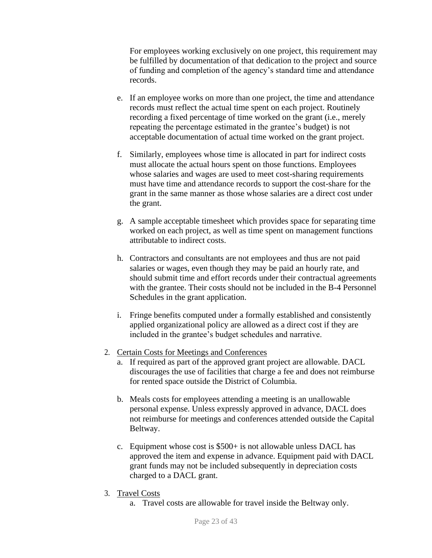For employees working exclusively on one project, this requirement may be fulfilled by documentation of that dedication to the project and source of funding and completion of the agency's standard time and attendance records.

- e. If an employee works on more than one project, the time and attendance records must reflect the actual time spent on each project. Routinely recording a fixed percentage of time worked on the grant (i.e., merely repeating the percentage estimated in the grantee's budget) is not acceptable documentation of actual time worked on the grant project.
- f. Similarly, employees whose time is allocated in part for indirect costs must allocate the actual hours spent on those functions. Employees whose salaries and wages are used to meet cost-sharing requirements must have time and attendance records to support the cost-share for the grant in the same manner as those whose salaries are a direct cost under the grant.
- g. A sample acceptable timesheet which provides space for separating time worked on each project, as well as time spent on management functions attributable to indirect costs.
- h. Contractors and consultants are not employees and thus are not paid salaries or wages, even though they may be paid an hourly rate, and should submit time and effort records under their contractual agreements with the grantee. Their costs should not be included in the B-4 Personnel Schedules in the grant application.
- i. Fringe benefits computed under a formally established and consistently applied organizational policy are allowed as a direct cost if they are included in the grantee's budget schedules and narrative.
- <span id="page-22-0"></span>2. Certain Costs for Meetings and Conferences
	- a. If required as part of the approved grant project are allowable. DACL discourages the use of facilities that charge a fee and does not reimburse for rented space outside the District of Columbia.
	- b. Meals costs for employees attending a meeting is an unallowable personal expense. Unless expressly approved in advance, DACL does not reimburse for meetings and conferences attended outside the Capital Beltway.
	- c. Equipment whose cost is \$500+ is not allowable unless DACL has approved the item and expense in advance. Equipment paid with DACL grant funds may not be included subsequently in depreciation costs charged to a DACL grant.
- <span id="page-22-2"></span><span id="page-22-1"></span>3. Travel Costs
	- a. Travel costs are allowable for travel inside the Beltway only.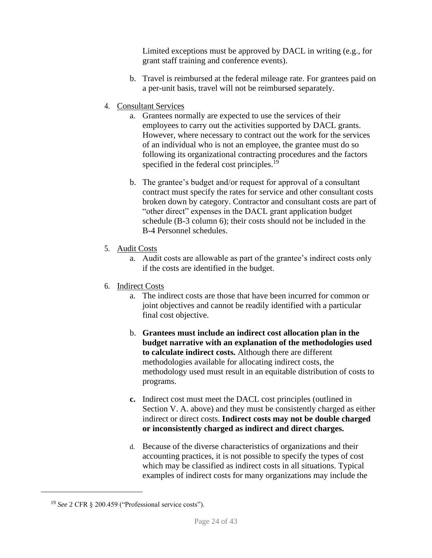Limited exceptions must be approved by DACL in writing (e.g., for grant staff training and conference events).

- b. Travel is reimbursed at the federal mileage rate. For grantees paid on a per-unit basis, travel will not be reimbursed separately.
- <span id="page-23-0"></span>4. Consultant Services
	- a. Grantees normally are expected to use the services of their employees to carry out the activities supported by DACL grants. However, where necessary to contract out the work for the services of an individual who is not an employee, the grantee must do so following its organizational contracting procedures and the factors specified in the federal cost principles.<sup>19</sup>
	- b. The grantee's budget and/or request for approval of a consultant contract must specify the rates for service and other consultant costs broken down by category. Contractor and consultant costs are part of "other direct" expenses in the DACL grant application budget schedule (B-3 column 6); their costs should not be included in the B-4 Personnel schedules.
- <span id="page-23-1"></span>5. Audit Costs
	- a. Audit costs are allowable as part of the grantee's indirect costs only if the costs are identified in the budget.
- <span id="page-23-2"></span>6. Indirect Costs
	- a. The indirect costs are those that have been incurred for common or joint objectives and cannot be readily identified with a particular final cost objective.
	- b. **Grantees must include an indirect cost allocation plan in the budget narrative with an explanation of the methodologies used to calculate indirect costs.** Although there are different methodologies available for allocating indirect costs, the methodology used must result in an equitable distribution of costs to programs.
	- **c.** Indirect cost must meet the DACL cost principles (outlined in Section V. A. above) and they must be consistently charged as either indirect or direct costs. **Indirect costs may not be double charged or inconsistently charged as indirect and direct charges.**
	- d. Because of the diverse characteristics of organizations and their accounting practices, it is not possible to specify the types of cost which may be classified as indirect costs in all situations. Typical examples of indirect costs for many organizations may include the

<sup>19</sup> *See* 2 CFR § 200.459 ("Professional service costs").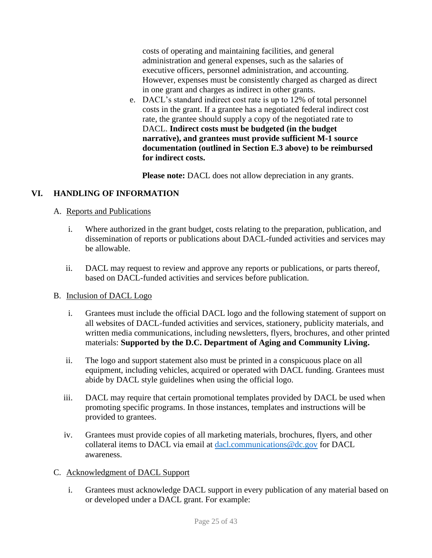costs of operating and maintaining facilities, and general administration and general expenses, such as the salaries of executive officers, personnel administration, and accounting. However, expenses must be consistently charged as charged as direct in one grant and charges as indirect in other grants.

e. DACL's standard indirect cost rate is up to 12% of total personnel costs in the grant. If a grantee has a negotiated federal indirect cost rate, the grantee should supply a copy of the negotiated rate to DACL. **Indirect costs must be budgeted (in the budget narrative), and grantees must provide sufficient M-1 source documentation (outlined in Section E.3 above) to be reimbursed for indirect costs.**

**Please note:** DACL does not allow depreciation in any grants.

## <span id="page-24-0"></span>**VI. HANDLING OF INFORMATION**

## <span id="page-24-1"></span>A. Reports and Publications

- i. Where authorized in the grant budget, costs relating to the preparation, publication, and dissemination of reports or publications about DACL-funded activities and services may be allowable.
- ii. DACL may request to review and approve any reports or publications, or parts thereof, based on DACL-funded activities and services before publication.

## <span id="page-24-2"></span>B. Inclusion of DACL Logo

- i. Grantees must include the official DACL logo and the following statement of support on all websites of DACL-funded activities and services, stationery, publicity materials, and written media communications, including newsletters, flyers, brochures, and other printed materials: **Supported by the D.C. Department of Aging and Community Living.**
- ii. The logo and support statement also must be printed in a conspicuous place on all equipment, including vehicles, acquired or operated with DACL funding. Grantees must abide by DACL style guidelines when using the official logo.
- iii. DACL may require that certain promotional templates provided by DACL be used when promoting specific programs. In those instances, templates and instructions will be provided to grantees.
- iv. Grantees must provide copies of all marketing materials, brochures, flyers, and other collateral items to DACL via email at [dacl.communications@dc.gov](mailto:dacl.communications@dc.gov) for DACL awareness.
- <span id="page-24-3"></span>C. Acknowledgment of DACL Support
	- i. Grantees must acknowledge DACL support in every publication of any material based on or developed under a DACL grant. For example: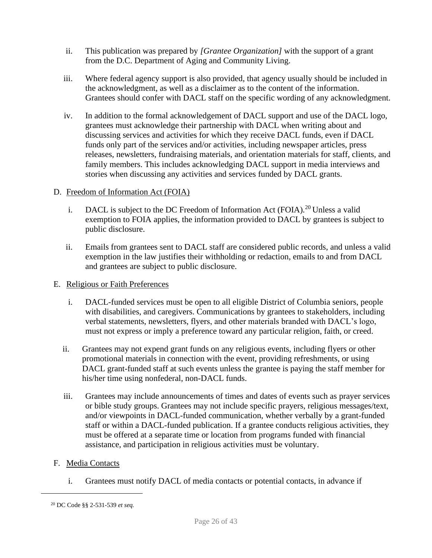- ii. This publication was prepared by *[Grantee Organization]* with the support of a grant from the D.C. Department of Aging and Community Living.
- iii. Where federal agency support is also provided, that agency usually should be included in the acknowledgment, as well as a disclaimer as to the content of the information. Grantees should confer with DACL staff on the specific wording of any acknowledgment.
- iv. In addition to the formal acknowledgement of DACL support and use of the DACL logo, grantees must acknowledge their partnership with DACL when writing about and discussing services and activities for which they receive DACL funds, even if DACL funds only part of the services and/or activities, including newspaper articles, press releases, newsletters, fundraising materials, and orientation materials for staff, clients, and family members. This includes acknowledging DACL support in media interviews and stories when discussing any activities and services funded by DACL grants.

## <span id="page-25-0"></span>D. Freedom of Information Act (FOIA)

- i. DACL is subject to the DC Freedom of Information Act (FOIA).<sup>20</sup> Unless a valid exemption to FOIA applies, the information provided to DACL by grantees is subject to public disclosure.
- ii. Emails from grantees sent to DACL staff are considered public records, and unless a valid exemption in the law justifies their withholding or redaction, emails to and from DACL and grantees are subject to public disclosure.

## <span id="page-25-1"></span>E. Religious or Faith Preferences

- i. DACL-funded services must be open to all eligible District of Columbia seniors, people with disabilities, and caregivers. Communications by grantees to stakeholders, including verbal statements, newsletters, flyers, and other materials branded with DACL's logo, must not express or imply a preference toward any particular religion, faith, or creed.
- ii. Grantees may not expend grant funds on any religious events, including flyers or other promotional materials in connection with the event, providing refreshments, or using DACL grant-funded staff at such events unless the grantee is paying the staff member for his/her time using nonfederal, non-DACL funds.
- iii. Grantees may include announcements of times and dates of events such as prayer services or bible study groups. Grantees may not include specific prayers, religious messages/text, and/or viewpoints in DACL-funded communication, whether verbally by a grant-funded staff or within a DACL-funded publication. If a grantee conducts religious activities, they must be offered at a separate time or location from programs funded with financial assistance, and participation in religious activities must be voluntary.

## <span id="page-25-2"></span>F. Media Contacts

i. Grantees must notify DACL of media contacts or potential contacts, in advance if

<sup>20</sup> DC Code §§ 2-531-539 *et seq.*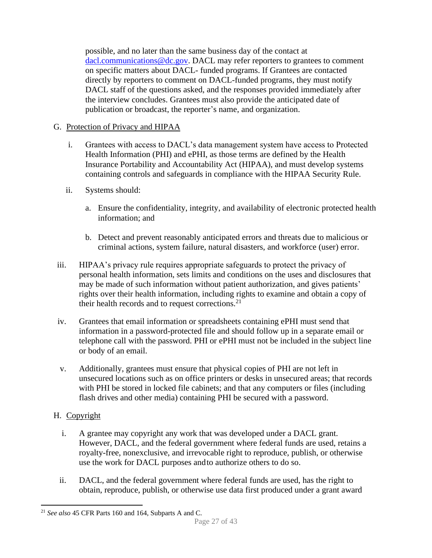possible, and no later than the same business day of the contact at [dacl.communications@dc.gov.](mailto:dacl.communications@dc.gov) DACL may refer reporters to grantees to comment on specific matters about DACL- funded programs. If Grantees are contacted directly by reporters to comment on DACL-funded programs, they must notify DACL staff of the questions asked, and the responses provided immediately after the interview concludes. Grantees must also provide the anticipated date of publication or broadcast, the reporter's name, and organization.

## <span id="page-26-0"></span>G. Protection of Privacy and HIPAA

- i. Grantees with access to DACL's data management system have access to Protected Health Information (PHI) and ePHI, as those terms are defined by the Health Insurance Portability and Accountability Act (HIPAA), and must develop systems containing controls and safeguards in compliance with the HIPAA Security Rule.
- ii. Systems should:
	- a. Ensure the confidentiality, integrity, and availability of electronic protected health information; and
	- b. Detect and prevent reasonably anticipated errors and threats due to malicious or criminal actions, system failure, natural disasters, and workforce (user) error.
- iii. HIPAA's privacy rule requires appropriate safeguards to protect the privacy of personal health information, sets limits and conditions on the uses and disclosures that may be made of such information without patient authorization, and gives patients' rights over their health information, including rights to examine and obtain a copy of their health records and to request corrections.<sup>21</sup>
- iv. Grantees that email information or spreadsheets containing ePHI must send that information in a password-protected file and should follow up in a separate email or telephone call with the password. PHI or ePHI must not be included in the subject line or body of an email.
- v. Additionally, grantees must ensure that physical copies of PHI are not left in unsecured locations such as on office printers or desks in unsecured areas; that records with PHI be stored in locked file cabinets; and that any computers or files (including flash drives and other media) containing PHI be secured with a password.

## <span id="page-26-1"></span>H. Copyright

- i. A grantee may copyright any work that was developed under a DACL grant. However, DACL, and the federal government where federal funds are used, retains a royalty-free, nonexclusive, and irrevocable right to reproduce, publish, or otherwise use the work for DACL purposes andto authorize others to do so.
- ii. DACL, and the federal government where federal funds are used, has the right to obtain, reproduce, publish, or otherwise use data first produced under a grant award

<sup>21</sup> *See also* 45 CFR Parts 160 and 164, Subparts A and C.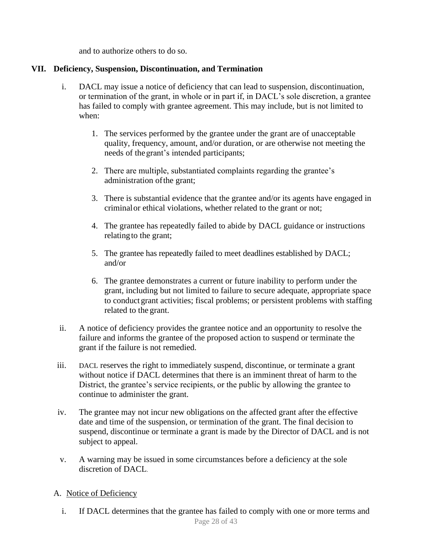and to authorize others to do so.

## <span id="page-27-0"></span>**VII. Deficiency, Suspension, Discontinuation, and Termination**

- i. DACL may issue a notice of deficiency that can lead to suspension, discontinuation, or termination of the grant, in whole or in part if, in DACL's sole discretion, a grantee has failed to comply with grantee agreement. This may include, but is not limited to when:
	- 1. The services performed by the grantee under the grant are of unacceptable quality, frequency, amount, and/or duration, or are otherwise not meeting the needs of thegrant's intended participants;
	- 2. There are multiple, substantiated complaints regarding the grantee's administration ofthe grant;
	- 3. There is substantial evidence that the grantee and/or its agents have engaged in criminalor ethical violations, whether related to the grant or not;
	- 4. The grantee has repeatedly failed to abide by DACL guidance or instructions relating to the grant;
	- 5. The grantee has repeatedly failed to meet deadlines established by DACL; and/or
	- 6. The grantee demonstrates a current or future inability to perform under the grant, including but not limited to failure to secure adequate, appropriate space to conductgrant activities; fiscal problems; or persistent problems with staffing related to the grant.
- ii. A notice of deficiency provides the grantee notice and an opportunity to resolve the failure and informs the grantee of the proposed action to suspend or terminate the grant if the failure is not remedied.
- iii. DACL reserves the right to immediately suspend, discontinue, or terminate a grant without notice if DACL determines that there is an imminent threat of harm to the District, the grantee's service recipients, or the public by allowing the grantee to continue to administer the grant.
- iv. The grantee may not incur new obligations on the affected grant after the effective date and time of the suspension, or termination of the grant. The final decision to suspend, discontinue or terminate a grant is made by the Director of DACL and is not subject to appeal.
- v. A warning may be issued in some circumstances before a deficiency at the sole discretion of DACL.

## <span id="page-27-1"></span>A. Notice of Deficiency

i. If DACL determines that the grantee has failed to comply with one or more terms and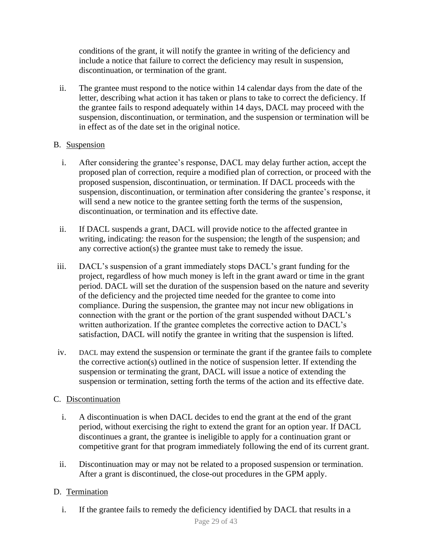conditions of the grant, it will notify the grantee in writing of the deficiency and include a notice that failure to correct the deficiency may result in suspension, discontinuation, or termination of the grant.

ii. The grantee must respond to the notice within 14 calendar days from the date of the letter, describing what action it has taken or plans to take to correct the deficiency. If the grantee fails to respond adequately within 14 days, DACL may proceed with the suspension, discontinuation, or termination, and the suspension or termination will be in effect as of the date set in the original notice.

## B. Suspension

- i. After considering the grantee's response, DACL may delay further action, accept the proposed plan of correction, require a modified plan of correction, or proceed with the proposed suspension, discontinuation, or termination. If DACL proceeds with the suspension, discontinuation, or termination after considering the grantee's response, it will send a new notice to the grantee setting forth the terms of the suspension, discontinuation, or termination and its effective date.
- <span id="page-28-0"></span>ii. If DACL suspends a grant, DACL will provide notice to the affected grantee in writing, indicating: the reason for the suspension; the length of the suspension; and any corrective action(s) the grantee must take to remedy the issue.
- iii. DACL's suspension of a grant immediately stops DACL's grant funding for the project, regardless of how much money is left in the grant award or time in the grant period. DACL will set the duration of the suspension based on the nature and severity of the deficiency and the projected time needed for the grantee to come into compliance. During the suspension, the grantee may not incur new obligations in connection with the grant or the portion of the grant suspended without DACL's written authorization. If the grantee completes the corrective action to DACL's satisfaction, DACL will notify the grantee in writing that the suspension is lifted.
- iv. DACL may extend the suspension or terminate the grant if the grantee fails to complete the corrective action(s) outlined in the notice of suspension letter. If extending the suspension or terminating the grant, DACL will issue a notice of extending the suspension or termination, setting forth the terms of the action and its effective date.

## <span id="page-28-1"></span>C. Discontinuation

- i. A discontinuation is when DACL decides to end the grant at the end of the grant period, without exercising the right to extend the grant for an option year. If DACL discontinues a grant, the grantee is ineligible to apply for a continuation grant or competitive grant for that program immediately following the end of its current grant.
- ii. Discontinuation may or may not be related to a proposed suspension or termination. After a grant is discontinued, the close-out procedures in the GPM apply.

## <span id="page-28-3"></span><span id="page-28-2"></span>D. Termination

i. If the grantee fails to remedy the deficiency identified by DACL that results in a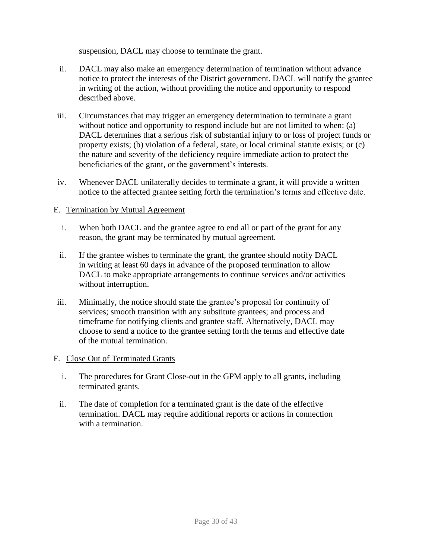suspension, DACL may choose to terminate the grant.

- ii. DACL may also make an emergency determination of termination without advance notice to protect the interests of the District government. DACL will notify the grantee in writing of the action, without providing the notice and opportunity to respond described above.
- iii. Circumstances that may trigger an emergency determination to terminate a grant without notice and opportunity to respond include but are not limited to when: (a) DACL determines that a serious risk of substantial injury to or loss of project funds or property exists; (b) violation of a federal, state, or local criminal statute exists; or (c) the nature and severity of the deficiency require immediate action to protect the beneficiaries of the grant, or the government's interests.
- iv. Whenever DACL unilaterally decides to terminate a grant, it will provide a written notice to the affected grantee setting forth the termination's terms and effective date.

## <span id="page-29-0"></span>E. Termination by Mutual Agreement

- i. When both DACL and the grantee agree to end all or part of the grant for any reason, the grant may be terminated by mutual agreement.
- ii. If the grantee wishes to terminate the grant, the grantee should notify DACL in writing at least 60 days in advance of the proposed termination to allow DACL to make appropriate arrangements to continue services and/or activities without interruption.
- iii. Minimally, the notice should state the grantee's proposal for continuity of services; smooth transition with any substitute grantees; and process and timeframe for notifying clients and grantee staff. Alternatively, DACL may choose to send a notice to the grantee setting forth the terms and effective date of the mutual termination.

#### <span id="page-29-1"></span>F. Close Out of Terminated Grants

- i. The procedures for Grant Close-out in the GPM apply to all grants, including terminated grants.
- ii. The date of completion for a terminated grant is the date of the effective termination. DACL may require additional reports or actions in connection with a termination.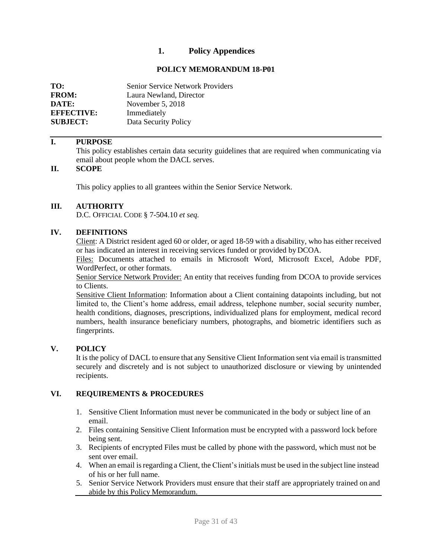## **1. Policy Appendices**

#### **POLICY MEMORANDUM 18-P01**

<span id="page-30-1"></span><span id="page-30-0"></span>

| TO:               | <b>Senior Service Network Providers</b> |
|-------------------|-----------------------------------------|
| <b>FROM:</b>      | Laura Newland, Director                 |
| DATE:             | November $5, 2018$                      |
| <b>EFFECTIVE:</b> | Immediately                             |
| <b>SUBJECT:</b>   | Data Security Policy                    |

#### **I. PURPOSE**

This policy establishes certain data security guidelines that are required when communicating via email about people whom the DACL serves.

## **II. SCOPE**

This policy applies to all grantees within the Senior Service Network.

#### **III. AUTHORITY**

D.C. OFFICIAL CODE § 7-504.10 *et seq.*

#### **IV. DEFINITIONS**

Client: A District resident aged 60 or older, or aged 18-59 with a disability, who has either received or has indicated an interest in receiving services funded or provided byDCOA.

Files: Documents attached to emails in Microsoft Word, Microsoft Excel, Adobe PDF, WordPerfect, or other formats.

Senior Service Network Provider: An entity that receives funding from DCOA to provide services to Clients.

Sensitive Client Information: Information about a Client containing datapoints including, but not limited to, the Client's home address, email address, telephone number, social security number, health conditions, diagnoses, prescriptions, individualized plans for employment, medical record numbers, health insurance beneficiary numbers, photographs, and biometric identifiers such as fingerprints.

#### **V. POLICY**

It is the policy of DACL to ensure that any Sensitive Client Information sent via email is transmitted securely and discretely and is not subject to unauthorized disclosure or viewing by unintended recipients.

#### **VI. REQUIREMENTS & PROCEDURES**

- 1. Sensitive Client Information must never be communicated in the body or subject line of an email.
- 2. Files containing Sensitive Client Information must be encrypted with a password lock before being sent.
- 3. Recipients of encrypted Files must be called by phone with the password, which must not be sent over email.
- 4. When an email isregarding a Client, the Client'sinitials must be used in the subject line instead of his or her full name.
- 5. Senior Service Network Providers must ensure that their staff are appropriately trained on and abide by this Policy Memorandum.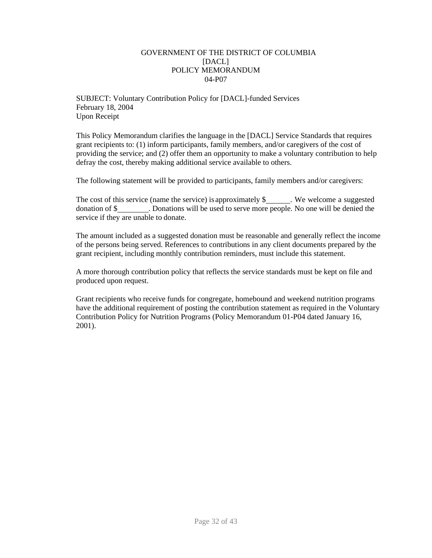#### GOVERNMENT OF THE DISTRICT OF COLUMBIA [DACL] POLICY MEMORANDUM 04-P07

<span id="page-31-0"></span>SUBJECT: Voluntary Contribution Policy for [DACL]-funded Services February 18, 2004 Upon Receipt

This Policy Memorandum clarifies the language in the [DACL] Service Standards that requires grant recipients to: (1) inform participants, family members, and/or caregivers of the cost of providing the service; and (2) offer them an opportunity to make a voluntary contribution to help defray the cost, thereby making additional service available to others.

The following statement will be provided to participants, family members and/or caregivers:

The cost of this service (name the service) is approximately  $\$\,$  We welcome a suggested donation of \$ . Donations will be used to serve more people. No one will be denied the service if they are unable to donate.

The amount included as a suggested donation must be reasonable and generally reflect the income of the persons being served. References to contributions in any client documents prepared by the grant recipient, including monthly contribution reminders, must include this statement.

A more thorough contribution policy that reflects the service standards must be kept on file and produced upon request.

Grant recipients who receive funds for congregate, homebound and weekend nutrition programs have the additional requirement of posting the contribution statement as required in the Voluntary Contribution Policy for Nutrition Programs (Policy Memorandum 01-P04 dated January 16, 2001).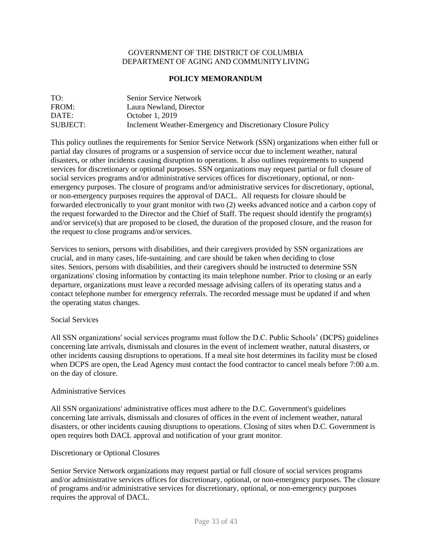#### GOVERNMENT OF THE DISTRICT OF COLUMBIA DEPARTMENT OF AGING AND COMMUNITYLIVING

#### **POLICY MEMORANDUM**

<span id="page-32-0"></span>

| TO:      | Senior Service Network                                       |
|----------|--------------------------------------------------------------|
| FROM:    | Laura Newland, Director                                      |
| DATE:    | October 1, 2019                                              |
| SUBJECT: | Inclement Weather-Emergency and Discretionary Closure Policy |

This policy outlines the requirements for Senior Service Network (SSN) organizations when either full or partial day closures of programs or a suspension of service occur due to inclement weather, natural disasters, or other incidents causing disruption to operations. It also outlines requirements to suspend services for discretionary or optional purposes. SSN organizations may request partial or full closure of social services programs and/or administrative services offices for discretionary, optional, or nonemergency purposes. The closure of programs and/or administrative services for discretionary, optional, or non-emergency purposes requires the approval of DACL. All requests for closure should be forwarded electronically to your grant monitor with two (2) weeks advanced notice and a carbon copy of the request forwarded to the Director and the Chief of Staff. The request should identify the program(s) and/or service(s) that are proposed to be closed, the duration of the proposed closure, and the reason for the request to close programs and/or services.

Services to seniors, persons with disabilities, and their caregivers provided by SSN organizations are crucial, and in many cases, life-sustaining. and care should be taken when deciding to close sites. Seniors, persons with disabilities, and their caregivers should be instructed to determine SSN organizations' closing information by contacting its main telephone number. Prior to closing or an early departure, organizations must leave a recorded message advising callers of its operating status and a contact telephone number for emergency referrals. The recorded message must be updated if and when the operating status changes.

#### Social Services

All SSN organizations' social services programs must follow the D.C. Public Schools' (DCPS) guidelines concerning late arrivals, dismissals and closures in the event of inclement weather, natural disasters, or other incidents causing disruptions to operations. If a meal site host determines its facility must be closed when DCPS are open, the Lead Agency must contact the food contractor to cancel meals before 7:00 a.m. on the day of closure.

#### Administrative Services

All SSN organizations' administrative offices must adhere to the D.C. Government's guidelines concerning late arrivals, dismissals and closures of offices in the event of inclement weather, natural disasters, or other incidents causing disruptions to operations. Closing of sites when D.C. Government is open requires both DACL approval and notification of your grant monitor.

#### Discretionary or Optional Closures

Senior Service Network organizations may request partial or full closure of social services programs and/or administrative services offices for discretionary, optional, or non-emergency purposes. The closure of programs and/or administrative services for discretionary, optional, or non-emergency purposes requires the approval of DACL.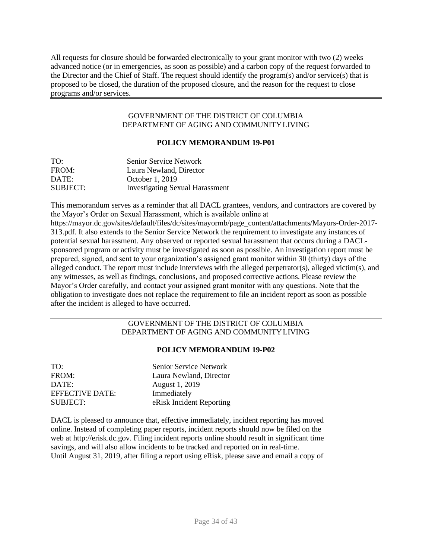All requests for closure should be forwarded electronically to your grant monitor with two (2) weeks advanced notice (or in emergencies, as soon as possible) and a carbon copy of the request forwarded to the Director and the Chief of Staff. The request should identify the program(s) and/or service(s) that is proposed to be closed, the duration of the proposed closure, and the reason for the request to close programs and/or services.

#### GOVERNMENT OF THE DISTRICT OF COLUMBIA DEPARTMENT OF AGING AND COMMUNITYLIVING

#### **POLICY MEMORANDUM 19-P01**

<span id="page-33-0"></span>

| TO:      | <b>Senior Service Network</b>          |
|----------|----------------------------------------|
| FROM:    | Laura Newland, Director                |
| DATE:    | October 1, 2019                        |
| SUBJECT: | <b>Investigating Sexual Harassment</b> |

This memorandum serves as a reminder that all DACL grantees, vendors, and contractors are covered by the Mayor's Order on Sexual Harassment, which is available online at https://mayor.dc.gov/sites/default/files/dc/sites/mayormb/page\_content/attachments/Mayors-Order-2017- 313.pdf. It also extends to the Senior Service Network the requirement to investigate any instances of potential sexual harassment. Any observed or reported sexual harassment that occurs during a DACLsponsored program or activity must be investigated as soon as possible. An investigation report must be prepared, signed, and sent to your organization's assigned grant monitor within 30 (thirty) days of the alleged conduct. The report must include interviews with the alleged perpetrator(s), alleged victim(s), and any witnesses, as well as findings, conclusions, and proposed corrective actions. Please review the Mayor's Order carefully, and contact your assigned grant monitor with any questions. Note that the obligation to investigate does not replace the requirement to file an incident report as soon as possible after the incident is alleged to have occurred.

#### GOVERNMENT OF THE DISTRICT OF COLUMBIA DEPARTMENT OF AGING AND COMMUNITYLIVING

#### **POLICY MEMORANDUM 19-P02**

<span id="page-33-1"></span>

| TO:             | Senior Service Network   |
|-----------------|--------------------------|
| FROM:           | Laura Newland, Director  |
| DATE:           | August 1, 2019           |
| EFFECTIVE DATE: | Immediately              |
| SUBJECT:        | eRisk Incident Reporting |

DACL is pleased to announce that, effective immediately, incident reporting has moved online. Instead of completing paper reports, incident reports should now be filed on the web at [http://erisk.dc.gov. F](http://erisk.dc.gov/)iling incident reports online should result in significant time savings, and will also allow incidents to be tracked and reported on in real-time. Until August 31, 2019, after filing a report using eRisk, please save and email a copy of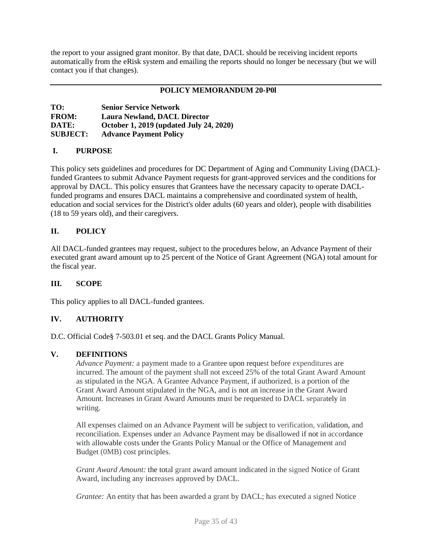the report to your assigned grant monitor. By that date, DACL should be receiving incident reports automatically from the eRisk system and emailing the reports should no longer be necessary (but we will contact you if that changes).

#### <span id="page-34-0"></span>**POLICY MEMORANDUM 20-P0l**

| TO:             | <b>Senior Service Network</b>           |
|-----------------|-----------------------------------------|
| <b>FROM:</b>    | <b>Laura Newland, DACL Director</b>     |
| DATE:           | October 1, 2019 (updated July 24, 2020) |
| <b>SUBJECT:</b> | <b>Advance Payment Policy</b>           |

#### **I. PURPOSE**

This policy sets guidelines and procedures for DC Department of Aging and Community Living (DACL) funded Grantees to submit Advance Payment requests for grant-approved services and the conditions for approval by DACL. This policy ensures that Grantees have the necessary capacity to operate DACLfunded programs and ensures DACL maintains a comprehensive and coordinated system of health, education and social services for the District's older adults (60 years and older), people with disabilities (18 to 59 years old), and their caregivers.

#### **II. POLICY**

All DACL-funded grantees may request, subject to the procedures below, an Advance Payment of their executed grant award amount up to 25 percent of the Notice of Grant Agreement (NGA) total amount for the fiscal year.

#### **III. SCOPE**

This policy applies to all DACL-funded grantees.

#### **IV. AUTHORITY**

D.C. Official Code§ 7-503.01 et seq. and the DACL Grants Policy Manual.

#### **V. DEFINITIONS**

*Advance Payment:* a payment made to a Grantee upon request before expenditures are incurred. The amount of the payment shall not exceed 25% of the total Grant Award Amount as stipulated in the NGA. A Grantee Advance Payment, if authorized, is a portion of the Grant Award Amount stipulated in the NGA, and is not an increase in the Grant Award Amount. Increases in Grant Award Amounts must be requested to DACL separately in writing.

All expenses claimed on an Advance Payment will be subject to verification, validation, and reconciliation. Expenses under an Advance Payment may be disallowed if not in accordance with allowable costs under the Grants Policy Manual or the Office of Management and Budget (0MB) cost principles.

*Grant Award Amount:* the total grant award amount indicated in the signed Notice of Grant Award, including any increases approved by DACL.

*Grantee:* An entity that has been awarded a grant by DACL; has executed a signed Notice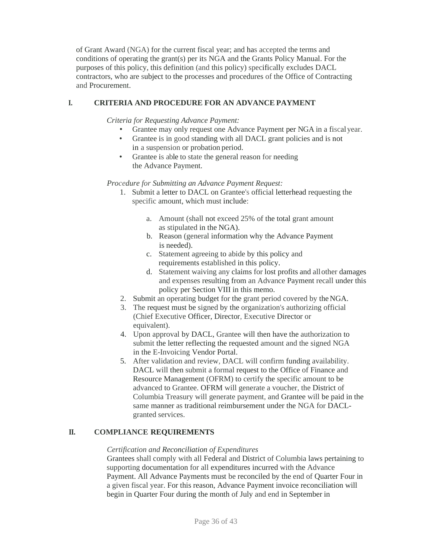of Grant Award (NGA) for the current fiscal year; and has accepted the terms and conditions of operating the grant(s) per its NGA and the Grants Policy Manual. For the purposes of this policy, this definition (and this policy) specifically excludes DACL contractors, who are subject to the processes and procedures of the Office of Contracting and Procurement.

### **I. CRITERIA AND PROCEDURE FOR AN ADVANCE PAYMENT**

*Criteria for Requesting Advance Payment:*

- Grantee may only request one Advance Payment per NGA in a fiscalyear.
- Grantee is in good standing with all DACL grant policies and is not in a suspension or probation period.
- Grantee is able to state the general reason for needing the Advance Payment.

*Procedure for Submitting an Advance Payment Request:*

- 1. Submit a letter to DACL on Grantee's official letterhead requesting the specific amount, which must include:
	- a. Amount (shall not exceed 25% of the total grant amount as stipulated in the NGA).
	- b. Reason (general information why the Advance Payment is needed).
	- c. Statement agreeing to abide by this policy and requirements established in this policy.
	- d. Statement waiving any claims for lost profits and allother damages and expenses resulting from an Advance Payment recall under this policy per Section VIII in this memo.
- 2. Submit an operating budget for the grant period covered by theNGA.
- 3. The request must be signed by the organization's authorizing official (Chief Executive Officer, Director, Executive Director or equivalent).
- 4. Upon approval by DACL, Grantee will then have the authorization to submit the letter reflecting the requested amount and the signed NGA in the E-Invoicing Vendor Portal.
- 5. After validation and review, DACL will confirm funding availability. DACL will then submit a formal request to the Office of Finance and Resource Management (OFRM) to certify the specific amount to be advanced to Grantee. OFRM will generate a voucher, the District of Columbia Treasury will generate payment, and Grantee will be paid in the same manner as traditional reimbursement under the NGA for DACLgranted services.

#### **II. COMPLIANCE REQUIREMENTS**

#### *Certification and Reconciliation of Expenditures*

Grantees shall comply with all Federal and District of Columbia laws pertaining to supporting documentation for all expenditures incurred with the Advance Payment. All Advance Payments must be reconciled by the end of Quarter Four in a given fiscal year. For this reason, Advance Payment invoice reconciliation will begin in Quarter Four during the month of July and end in September in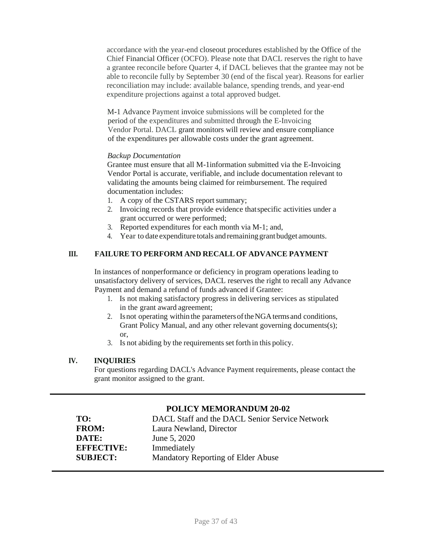accordance with the year-end closeout procedures established by the Office of the Chief Financial Officer (OCFO). Please note that DACL reserves the right to have a grantee reconcile before Quarter 4, if DACL believes that the grantee may not be able to reconcile fully by September 30 (end of the fiscal year). Reasons for earlier reconciliation may include: available balance, spending trends, and year-end expenditure projections against a total approved budget.

M-1 Advance Payment invoice submissions will be completed for the period of the expenditures and submitted through the E-Invoicing Vendor Portal. DACL grant monitors will review and ensure compliance of the expenditures per allowable costs under the grant agreement.

#### *Backup Documentation*

Grantee must ensure that all M-1information submitted via the E-Invoicing Vendor Portal is accurate, verifiable, and include documentation relevant to validating the amounts being claimed for reimbursement. The required documentation includes:

- 1. A copy of the CSTARS report summary;
- 2. Invoicing records that provide evidence thatspecific activities under a grant occurred or were performed;
- 3. Reported expenditures for each month via M-1; and,
- 4. Year to date expenditure totals andremaininggrant budget amounts.

## **III. FAILURETO PERFORM AND RECALL OF ADVANCE PAYMENT**

In instances of nonperformance or deficiency in program operations leading to unsatisfactory delivery of services, DACL reserves the right to recall any Advance Payment and demand a refund of funds advanced if Grantee:

- 1. Is not making satisfactory progress in delivering services as stipulated in the grant award agreement;
- 2. Is not operating within the parameters of the NGA terms and conditions, Grant Policy Manual, and any other relevant governing documents(s); or,
- 3. Is not abiding by the requirements set forth in this policy.

## **IV. INQUIRIES**

For questions regarding DACL's Advance Payment requirements, please contact the grant monitor assigned to the grant.

## **POLICY MEMORANDUM 20-02**

<span id="page-36-0"></span>

| TO:               | DACL Staff and the DACL Senior Service Network |
|-------------------|------------------------------------------------|
| <b>FROM:</b>      | Laura Newland, Director                        |
| DATE:             | June 5, 2020                                   |
| <b>EFFECTIVE:</b> | Immediately                                    |
| <b>SUBJECT:</b>   | Mandatory Reporting of Elder Abuse             |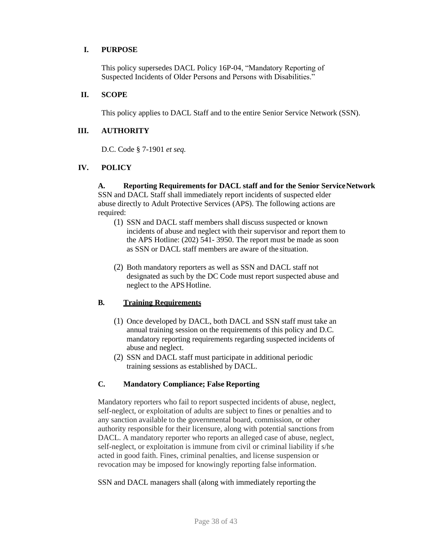#### **I. PURPOSE**

This policy supersedes DACL Policy 16P-04, "Mandatory Reporting of Suspected Incidents of Older Persons and Persons with Disabilities."

#### **II. SCOPE**

This policy applies to DACL Staff and to the entire Senior Service Network (SSN).

#### **III. AUTHORITY**

D.C. Code § 7-1901 *et seq.*

#### **IV. POLICY**

**A. Reporting Requirements for DACL staff and for the Senior ServiceNetwork** SSN and DACL Staff shall immediately report incidents of suspected elder abuse directly to Adult Protective Services (APS). The following actions are required:

- (1) SSN and DACL staff members shall discuss suspected or known incidents of abuse and neglect with their supervisor and report them to the APS Hotline: (202) 541- 3950. The report must be made as soon as SSN or DACL staff members are aware of the situation.
- (2) Both mandatory reporters as well as SSN and DACL staff not designated as such by the DC Code must report suspected abuse and neglect to the APS Hotline.

#### **B. Training Requirements**

- (1) Once developed by DACL, both DACL and SSN staff must take an annual training session on the requirements of this policy and D.C. mandatory reporting requirements regarding suspected incidents of abuse and neglect.
- (2) SSN and DACL staff must participate in additional periodic training sessions as established by DACL.

#### **C. Mandatory Compliance; False Reporting**

Mandatory reporters who fail to report suspected incidents of abuse, neglect, self-neglect, or exploitation of adults are subject to fines or penalties and to any sanction available to the governmental board, commission, or other authority responsible for their licensure, along with potential sanctions from DACL. A mandatory reporter who reports an alleged case of abuse, neglect, self-neglect, or exploitation is immune from civil or criminal liability if s/he acted in good faith. Fines, criminal penalties, and license suspension or revocation may be imposed for knowingly reporting false information.

SSN and DACL managers shall (along with immediately reporting the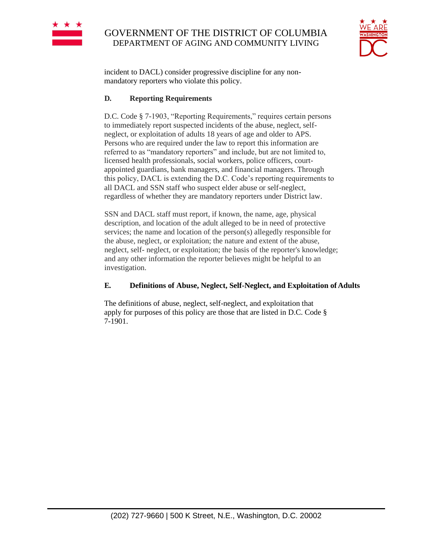

## GOVERNMENT OF THE DISTRICT OF COLUMBIA DEPARTMENT OF AGING AND COMMUNITY LIVING



incident to DACL) consider progressive discipline for any nonmandatory reporters who violate this policy.

#### **D. Reporting Requirements**

D.C. Code § 7-1903, "Reporting Requirements," requires certain persons to immediately report suspected incidents of the abuse, neglect, selfneglect, or exploitation of adults 18 years of age and older to APS. Persons who are required under the law to report this information are referred to as "mandatory reporters" and include, but are not limited to, licensed health professionals, social workers, police officers, courtappointed guardians, bank managers, and financial managers. Through this policy, DACL is extending the D.C. Code's reporting requirements to all DACL and SSN staff who suspect elder abuse or self-neglect, regardless of whether they are mandatory reporters under District law.

SSN and DACL staff must report, if known, the name, age, physical description, and location of the adult alleged to be in need of protective services; the name and location of the person(s) allegedly responsible for the abuse, neglect, or exploitation; the nature and extent of the abuse, neglect, self- neglect, or exploitation; the basis of the reporter's knowledge; and any other information the reporter believes might be helpful to an investigation.

#### **E. Definitions of Abuse, Neglect, Self-Neglect, and Exploitation of Adults**

The definitions of abuse, neglect, self-neglect, and exploitation that apply for purposes of this policy are those that are listed in D.C. Code § 7-1901.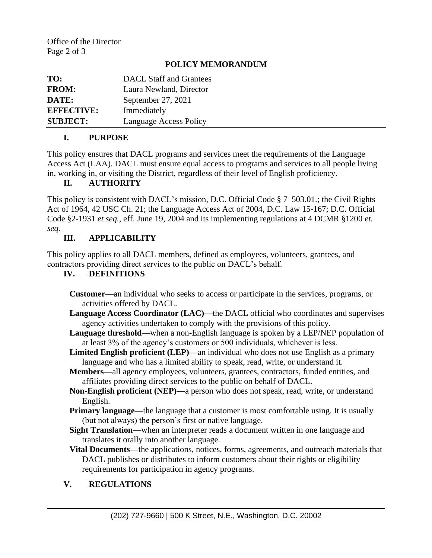## **POLICY MEMORANDUM**

| TO:               | <b>DACL</b> Staff and Grantees |
|-------------------|--------------------------------|
| <b>FROM:</b>      | Laura Newland, Director        |
| DATE:             | September 27, 2021             |
| <b>EFFECTIVE:</b> | Immediately                    |
| <b>SUBJECT:</b>   | <b>Language Access Policy</b>  |

## **I. PURPOSE**

This policy ensures that DACL programs and services meet the requirements of the Language Access Act (LAA). DACL must ensure equal access to programs and services to all people living in, working in, or visiting the District, regardless of their level of English proficiency.

## **II. AUTHORITY**

This policy is consistent with DACL's mission, D.C. Official Code § 7–503.01.; the Civil Rights Act of 1964, 42 USC Ch. 21; the Language Access Act of 2004, D.C. Law 15-167; D.C. Official Code §2-1931 *et seq.*, eff. June 19, 2004 and its implementing regulations at 4 DCMR §1200 *et. seq.*

## **III. APPLICABILITY**

This policy applies to all DACL members, defined as employees, volunteers, grantees, and contractors providing direct services to the public on DACL's behalf.

## **IV. DEFINITIONS**

- **Customer**—an individual who seeks to access or participate in the services, programs, or activities offered by DACL.
- **Language Access Coordinator (LAC)—**the DACL official who coordinates and supervises agency activities undertaken to comply with the provisions of this policy.
- **Language threshold**—when a non-English language is spoken by a LEP/NEP population of at least 3% of the agency's customers or 500 individuals, whichever is less.
- **Limited English proficient (LEP)—**an individual who does not use English as a primary language and who has a limited ability to speak, read, write, or understand it.
- **Members—**all agency employees, volunteers, grantees, contractors, funded entities, and affiliates providing direct services to the public on behalf of DACL.
- **Non-English proficient (NEP)—**a person who does not speak, read, write, or understand English.
- **Primary language—the language that a customer is most comfortable using. It is usually** (but not always) the person's first or native language.
- **Sight Translation—**when an interpreter reads a document written in one language and translates it orally into another language.
- **Vital Documents—**the applications, notices, forms, agreements, and outreach materials that DACL publishes or distributes to inform customers about their rights or eligibility requirements for participation in agency programs.

## **V. REGULATIONS**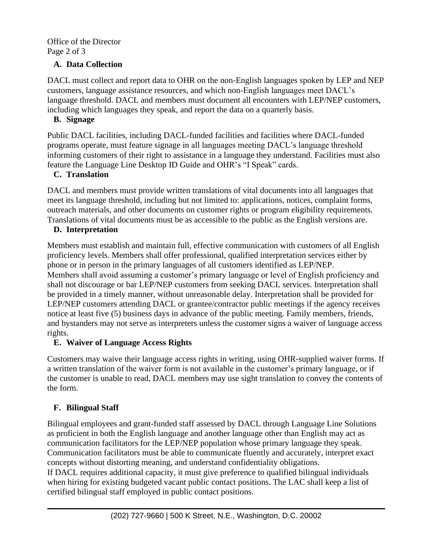Office of the Director Page 2 of 3

## **A. Data Collection**

DACL must collect and report data to OHR on the non-English languages spoken by LEP and NEP customers, language assistance resources, and which non-English languages meet DACL's language threshold. DACL and members must document all encounters with LEP/NEP customers, including which languages they speak, and report the data on a quarterly basis.

## **B. Signage**

Public DACL facilities, including DACL-funded facilities and facilities where DACL-funded programs operate, must feature signage in all languages meeting DACL's language threshold informing customers of their right to assistance in a language they understand. Facilities must also feature the Language Line Desktop ID Guide and OHR's "I Speak" cards.

## **C. Translation**

DACL and members must provide written translations of vital documents into all languages that meet its language threshold, including but not limited to: applications, notices, complaint forms, outreach materials, and other documents on customer rights or program eligibility requirements. Translations of vital documents must be as accessible to the public as the English versions are.

## **D. Interpretation**

Members must establish and maintain full, effective communication with customers of all English proficiency levels. Members shall offer professional, qualified interpretation services either by phone or in person in the primary languages of all customers identified as LEP/NEP. Members shall avoid assuming a customer's primary language or level of English proficiency and shall not discourage or bar LEP/NEP customers from seeking DACL services. Interpretation shall be provided in a timely manner, without unreasonable delay. Interpretation shall be provided for LEP/NEP customers attending DACL or grantee/contractor public meetings if the agency receives notice at least five (5) business days in advance of the public meeting. Family members, friends, and bystanders may not serve as interpreters unless the customer signs a waiver of language access rights.

## **E. Waiver of Language Access Rights**

Customers may waive their language access rights in writing, using OHR-supplied waiver forms. If a written translation of the waiver form is not available in the customer's primary language, or if the customer is unable to read, DACL members may use sight translation to convey the contents of the form.

## **F. Bilingual Staff**

Bilingual employees and grant-funded staff assessed by DACL through Language Line Solutions as proficient in both the English language and another language other than English may act as communication facilitators for the LEP/NEP population whose primary language they speak. Communication facilitators must be able to communicate fluently and accurately, interpret exact concepts without distorting meaning, and understand confidentiality obligations. If DACL requires additional capacity, it must give preference to qualified bilingual individuals when hiring for existing budgeted vacant public contact positions. The LAC shall keep a list of certified bilingual staff employed in public contact positions.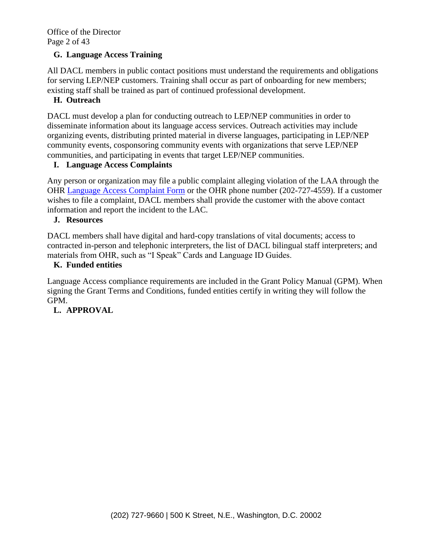Office of the Director Page 2 of 43

## **G. Language Access Training**

All DACL members in public contact positions must understand the requirements and obligations for serving LEP/NEP customers. Training shall occur as part of onboarding for new members; existing staff shall be trained as part of continued professional development.

## **H. Outreach**

DACL must develop a plan for conducting outreach to LEP/NEP communities in order to disseminate information about its language access services. Outreach activities may include organizing events, distributing printed material in diverse languages, participating in LEP/NEP community events, cosponsoring community events with organizations that serve LEP/NEP communities, and participating in events that target LEP/NEP communities.

## **I. Language Access Complaints**

Any person or organization may file a public complaint alleging violation of the LAA through the OHR [Language Access Complaint Form](http://ohr.dc.gov/webform/language-access-public-complaint-form) or the OHR phone number (202-727-4559). If a customer wishes to file a complaint, DACL members shall provide the customer with the above contact information and report the incident to the LAC.

## **J. Resources**

DACL members shall have digital and hard-copy translations of vital documents; access to contracted in-person and telephonic interpreters, the list of DACL bilingual staff interpreters; and materials from OHR, such as "I Speak" Cards and Language ID Guides.

## **K. Funded entities**

Language Access compliance requirements are included in the Grant Policy Manual (GPM). When signing the Grant Terms and Conditions, funded entities certify in writing they will follow the GPM.

## **L. APPROVAL**